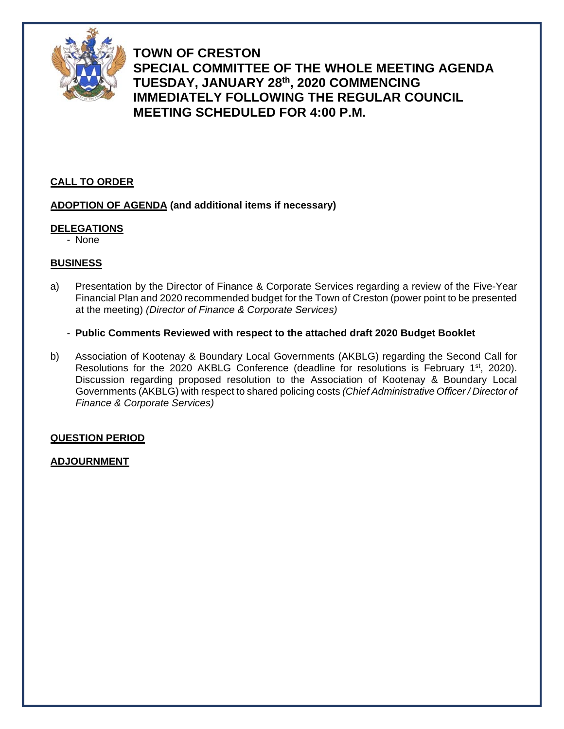

**TOWN OF CRESTON SPECIAL COMMITTEE OF THE WHOLE MEETING AGENDA TUESDAY, JANUARY 28th, 2020 COMMENCING IMMEDIATELY FOLLOWING THE REGULAR COUNCIL MEETING SCHEDULED FOR 4:00 P.M.**

#### **CALL TO ORDER**

#### **ADOPTION OF AGENDA (and additional items if necessary)**

#### **DELEGATIONS**

- None

#### **BUSINESS**

- a) Presentation by the Director of Finance & Corporate Services regarding a review of the Five-Year Financial Plan and 2020 recommended budget for the Town of Creston (power point to be presented at the meeting) *(Director of Finance & Corporate Services)*
	- **Public Comments Reviewed with respect to the attached draft 2020 Budget Booklet**
- b) Association of Kootenay & Boundary Local Governments (AKBLG) regarding the Second Call for Resolutions for the 2020 AKBLG Conference (deadline for resolutions is February  $1<sup>st</sup>$ , 2020). Discussion regarding proposed resolution to the Association of Kootenay & Boundary Local Governments (AKBLG) with respect to shared policing costs *(Chief Administrative Officer / Director of Finance & Corporate Services)*

#### **QUESTION PERIOD**

#### **ADJOURNMENT**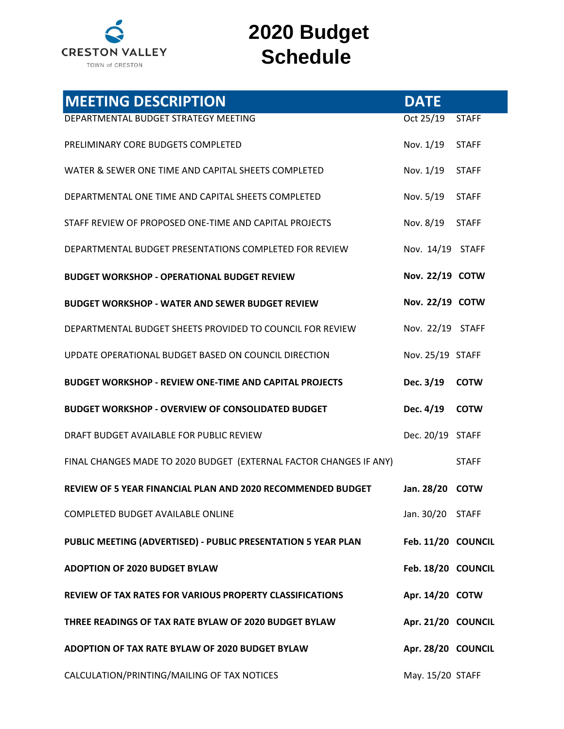

# **2020 Budget Schedule**

| <b>MEETING DESCRIPTION</b>                                         | <b>DATE</b>        |              |
|--------------------------------------------------------------------|--------------------|--------------|
| DEPARTMENTAL BUDGET STRATEGY MEETING                               | Oct 25/19          | <b>STAFF</b> |
| PRELIMINARY CORE BUDGETS COMPLETED                                 | Nov. 1/19 STAFF    |              |
| WATER & SEWER ONE TIME AND CAPITAL SHEETS COMPLETED                | Nov. 1/19          | <b>STAFF</b> |
| DEPARTMENTAL ONE TIME AND CAPITAL SHEETS COMPLETED                 | Nov. 5/19 STAFF    |              |
| STAFF REVIEW OF PROPOSED ONE-TIME AND CAPITAL PROJECTS             | Nov. 8/19          | <b>STAFF</b> |
| DEPARTMENTAL BUDGET PRESENTATIONS COMPLETED FOR REVIEW             | Nov. 14/19 STAFF   |              |
| <b>BUDGET WORKSHOP - OPERATIONAL BUDGET REVIEW</b>                 | Nov. 22/19 COTW    |              |
| <b>BUDGET WORKSHOP - WATER AND SEWER BUDGET REVIEW</b>             | Nov. 22/19 COTW    |              |
| DEPARTMENTAL BUDGET SHEETS PROVIDED TO COUNCIL FOR REVIEW          | Nov. 22/19 STAFF   |              |
| UPDATE OPERATIONAL BUDGET BASED ON COUNCIL DIRECTION               | Nov. 25/19 STAFF   |              |
| <b>BUDGET WORKSHOP - REVIEW ONE-TIME AND CAPITAL PROJECTS</b>      | Dec. 3/19 COTW     |              |
| <b>BUDGET WORKSHOP - OVERVIEW OF CONSOLIDATED BUDGET</b>           | Dec. 4/19          | <b>COTW</b>  |
| DRAFT BUDGET AVAILABLE FOR PUBLIC REVIEW                           | Dec. 20/19 STAFF   |              |
| FINAL CHANGES MADE TO 2020 BUDGET (EXTERNAL FACTOR CHANGES IF ANY) |                    | <b>STAFF</b> |
| REVIEW OF 5 YEAR FINANCIAL PLAN AND 2020 RECOMMENDED BUDGET        | Jan. 28/20         | <b>COTW</b>  |
| COMPLETED BUDGET AVAILABLE ONLINE                                  | Jan. 30/20 STAFF   |              |
| PUBLIC MEETING (ADVERTISED) - PUBLIC PRESENTATION 5 YEAR PLAN      | Feb. 11/20 COUNCIL |              |
| <b>ADOPTION OF 2020 BUDGET BYLAW</b>                               | Feb. 18/20 COUNCIL |              |
| REVIEW OF TAX RATES FOR VARIOUS PROPERTY CLASSIFICATIONS           | Apr. 14/20 COTW    |              |
| THREE READINGS OF TAX RATE BYLAW OF 2020 BUDGET BYLAW              | Apr. 21/20 COUNCIL |              |
| ADOPTION OF TAX RATE BYLAW OF 2020 BUDGET BYLAW                    | Apr. 28/20 COUNCIL |              |
| CALCULATION/PRINTING/MAILING OF TAX NOTICES                        | May. 15/20 STAFF   |              |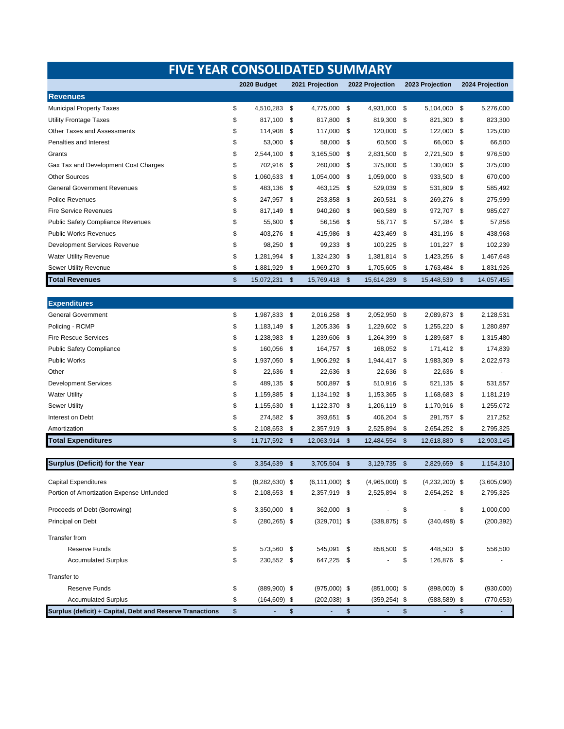| <b>FIVE YEAR CONSOLIDATED SUMMARY</b>    |    |                  |                 |                    |                           |                  |                           |                  |      |                 |  |  |  |
|------------------------------------------|----|------------------|-----------------|--------------------|---------------------------|------------------|---------------------------|------------------|------|-----------------|--|--|--|
|                                          |    | 2020 Budget      | 2021 Projection |                    |                           | 2022 Projection  | 2023 Projection           |                  |      | 2024 Projection |  |  |  |
| <b>Revenues</b>                          |    |                  |                 |                    |                           |                  |                           |                  |      |                 |  |  |  |
| <b>Municipal Property Taxes</b>          | \$ | 4.510.283        | \$              | 4,775,000          | \$                        | 4,931,000        | \$                        | 5,104,000        | \$   | 5,276,000       |  |  |  |
| <b>Utility Frontage Taxes</b>            | \$ | 817,100          | \$              | 817,800            | -\$                       | 819,300          | \$                        | 821,300          | \$   | 823,300         |  |  |  |
| <b>Other Taxes and Assessments</b>       | \$ | 114,908          | \$              | 117,000            | \$                        | 120,000          | -\$                       | 122,000          | \$   | 125,000         |  |  |  |
| Penalties and Interest                   | \$ | 53,000           | \$              | 58,000             | \$                        | 60,500           | - \$                      | 66,000           | -\$  | 66,500          |  |  |  |
| Grants                                   | \$ | 2,544,100        | \$              | 3,165,500          | \$                        | 2,831,500        | -\$                       | 2,721,500        | -\$  | 976,500         |  |  |  |
| Gax Tax and Development Cost Charges     | \$ | 702,916          | \$              | 260,000            | -\$                       | 375,000          | -\$                       | 130,000          | -\$  | 375,000         |  |  |  |
| <b>Other Sources</b>                     | \$ | 1,060,633        | \$              | 1,054,000          | \$                        | 1,059,000        | -\$                       | 933,500          | -\$  | 670,000         |  |  |  |
| <b>General Government Revenues</b>       | \$ | 483,136          | \$              | 463,125            | -\$                       | 529,039          | \$                        | 531,809          | \$   | 585,492         |  |  |  |
| <b>Police Revenues</b>                   | \$ | 247,957          | \$              | 253,858            | \$                        | 260,531          | \$                        | 269,276          | - \$ | 275,999         |  |  |  |
| <b>Fire Service Revenues</b>             | \$ | 817,149          | \$              | 940,260            | \$                        | 960,589          | \$                        | 972,707          | - \$ | 985,027         |  |  |  |
| <b>Public Safety Compliance Revenues</b> | \$ | 55,600           | \$              | 56,156             | \$                        | 56,717           | -\$                       | 57,284           | \$   | 57,856          |  |  |  |
| <b>Public Works Revenues</b>             | \$ | 403,276          | \$              | 415,986            | \$                        | 423,469          | \$                        | 431,196          | \$   | 438,968         |  |  |  |
| <b>Development Services Revenue</b>      | \$ | 98,250           | \$              | 99,233             | \$                        | 100,225          | -\$                       | 101,227          | - \$ | 102,239         |  |  |  |
| <b>Water Utility Revenue</b>             | \$ | 1,281,994        | \$              | 1,324,230          | \$                        | 1,381,814        | -\$                       | 1,423,256        | \$   | 1,467,648       |  |  |  |
| Sewer Utility Revenue                    | \$ | 1,881,929        | \$              | 1,969,270          | \$                        | 1,705,605        | -\$                       | 1,763,484        | -\$  | 1,831,926       |  |  |  |
| <b>Total Revenues</b>                    | \$ | 15,072,231       | \$              | 15,769,418         | \$                        | 15,614,289       | \$                        | 15,448,539       | -\$  | 14,057,455      |  |  |  |
|                                          |    |                  |                 |                    |                           |                  |                           |                  |      |                 |  |  |  |
| <b>Expenditures</b>                      |    |                  |                 |                    |                           |                  |                           |                  |      |                 |  |  |  |
| <b>General Government</b>                | \$ | 1,987,833        | \$              | 2,016,258          | - \$                      | 2,052,950        | -\$                       | 2,089,873        | - \$ | 2,128,531       |  |  |  |
| Policing - RCMP                          | \$ | 1,183,149        | \$              | 1,205,336          | -\$                       | 1,229,602        | - \$                      | 1,255,220        | -\$  | 1,280,897       |  |  |  |
| <b>Fire Rescue Services</b>              | \$ | 1,238,983        | \$              | 1,239,606          | -\$                       | 1,264,399        | \$                        | 1,289,687        | - \$ | 1,315,480       |  |  |  |
| <b>Public Safety Compliance</b>          | \$ | 160,056          | \$              | 164,757            | \$                        | 168,052          | -\$                       | 171,412          | - \$ | 174,839         |  |  |  |
| <b>Public Works</b>                      | \$ | 1,937,050        | \$              | 1,906,292          | -\$                       | 1,944,417        | \$                        | 1,983,309        | \$   | 2,022,973       |  |  |  |
| Other                                    | \$ | 22,636           | \$              | 22,636             | \$                        | 22,636           | -\$                       | 22,636           | -\$  |                 |  |  |  |
| <b>Development Services</b>              | \$ | 489,135          | \$              | 500,897            | -\$                       | 510,916          | \$                        | 521,135          | \$   | 531,557         |  |  |  |
| <b>Water Utility</b>                     | \$ | 1,159,885        | \$              | 1,134,192          | - \$                      | 1,153,365        | \$                        | 1,168,683        | - \$ | 1,181,219       |  |  |  |
| <b>Sewer Utility</b>                     | \$ | 1,155,630        | \$              | 1,122,370          | -\$                       | 1,206,119        | \$                        | 1,170,916 \$     |      | 1,255,072       |  |  |  |
| Interest on Debt                         | \$ | 274,582          | \$              | 393,651            | \$                        | 406,204          | \$                        | 291,757          | - \$ | 217,252         |  |  |  |
| Amortization                             | \$ | 2,108,653        | \$              | 2,357,919          | \$                        | 2,525,894        | \$                        | 2,654,252        | -\$  | 2,795,325       |  |  |  |
| <b>Total Expenditures</b>                | \$ | 11,717,592       | \$              | 12,063,914         | \$                        | 12,484,554       | $\boldsymbol{\mathsf{s}}$ | 12,618,880       | -\$  | 12,903,145      |  |  |  |
|                                          |    |                  |                 |                    |                           |                  |                           |                  |      |                 |  |  |  |
| Surplus (Deficit) for the Year           | \$ | 3,354,639        | \$              | 3,705,504          | $\boldsymbol{\mathsf{s}}$ | 3,129,735        | \$                        | 2.829.659        | \$   | 1,154,310       |  |  |  |
| <b>Capital Expenditures</b>              | \$ | $(8,282,630)$ \$ |                 | $(6, 111, 000)$ \$ |                           | $(4,965,000)$ \$ |                           | $(4,232,200)$ \$ |      | (3,605,090)     |  |  |  |
| Portion of Amortization Expense Unfunded | \$ | 2,108,653        | \$              | 2,357,919 \$       |                           | 2,525,894        | - \$                      | 2,654,252 \$     |      | 2,795,325       |  |  |  |
| Proceeds of Debt (Borrowing)             | \$ | 3,350,000        | \$              | 362,000 \$         |                           |                  | \$                        |                  | \$   | 1,000,000       |  |  |  |
| Principal on Debt                        | \$ | $(280, 265)$ \$  |                 | $(329, 701)$ \$    |                           | $(338, 875)$ \$  |                           | $(340, 498)$ \$  |      | (200, 392)      |  |  |  |
|                                          |    |                  |                 |                    |                           |                  |                           |                  |      |                 |  |  |  |
| <b>Transfer from</b>                     |    |                  |                 |                    |                           |                  |                           |                  |      |                 |  |  |  |
| <b>Reserve Funds</b>                     | \$ | 573,560          | \$              | 545,091 \$         |                           | 858,500          | - \$                      | 448,500 \$       |      | 556,500         |  |  |  |
| <b>Accumulated Surplus</b>               | \$ | 230,552 \$       |                 | 647,225 \$         |                           |                  | \$                        | 126,876 \$       |      |                 |  |  |  |
| Transfer to                              |    |                  |                 |                    |                           |                  |                           |                  |      |                 |  |  |  |
| <b>Reserve Funds</b>                     | \$ | $(889,900)$ \$   |                 | $(975,000)$ \$     |                           | $(851,000)$ \$   |                           | $(898,000)$ \$   |      | (930,000)       |  |  |  |
| <b>Accumulated Surplus</b>               | \$ | $(164, 609)$ \$  |                 | $(202, 038)$ \$    |                           | (359,254) \$     |                           | $(588, 589)$ \$  |      | (770, 653)      |  |  |  |

\$ - \$ - \$ - \$ - \$ - **Surplus (deficit) + Capital, Debt and Reserve Tranactions**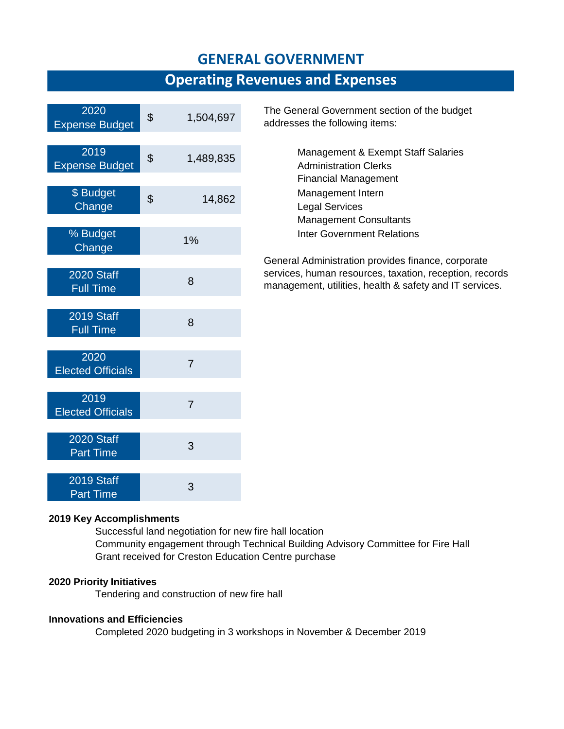### **GENERAL GOVERNMENT**

### **Operating Revenues and Expenses**

| 2020<br><b>Expense Budget</b>         | \$<br>1,504,697 |
|---------------------------------------|-----------------|
| 2019<br><b>Expense Budget</b>         | \$<br>1,489,835 |
| \$ Budget<br>Change                   | \$<br>14,862    |
| % Budget<br>Change                    | 1%              |
| <b>2020 Staff</b><br><b>Full Time</b> | 8               |
| <b>2019 Staff</b><br><b>Full Time</b> | 8               |
| 2020<br><b>Elected Officials</b>      | 7               |
| 2019<br><b>Elected Officials</b>      | 7               |
| <b>2020 Staff</b><br><b>Part Time</b> | 3               |
| 2019 Staff<br><b>Part Time</b>        | 3               |

The General Government section of the budget addresses the following items:

> Management & Exempt Staff Salaries Administration Clerks Financial Management Management Intern Legal Services Management Consultants Inter Government Relations

General Administration provides finance, corporate services, human resources, taxation, reception, records management, utilities, health & safety and IT services.

#### **2019 Key Accomplishments**

Successful land negotiation for new fire hall location Community engagement through Technical Building Advisory Committee for Fire Hall Grant received for Creston Education Centre purchase

#### **2020 Priority Initiatives**

Tendering and construction of new fire hall

#### **Innovations and Efficiencies**

Completed 2020 budgeting in 3 workshops in November & December 2019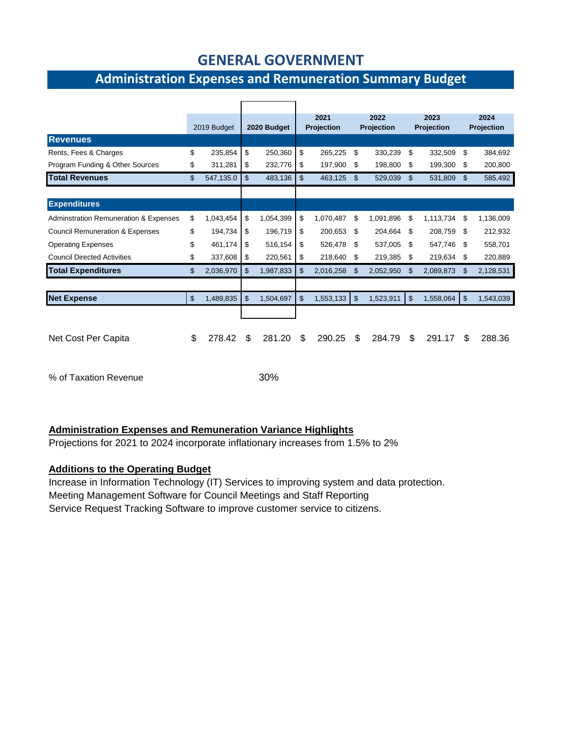### **GENERAL GOVERNMENT**

### **Administration Expenses and Remuneration Summary Budget**

|                                                  | 2019 Budget     | 2020 Budget     |    | 2021<br><b>Projection</b> |                | 2022<br><b>Projection</b> | 2023<br>Projection |              | 2024<br><b>Projection</b> |           |
|--------------------------------------------------|-----------------|-----------------|----|---------------------------|----------------|---------------------------|--------------------|--------------|---------------------------|-----------|
|                                                  |                 |                 |    |                           |                |                           |                    |              |                           |           |
| <b>Revenues</b>                                  |                 |                 |    |                           |                |                           |                    |              |                           |           |
| Rents, Fees & Charges                            | \$<br>235,854   | \$<br>250,360   | \$ | 265.225                   | \$             | 330,239                   | \$                 | 332,509      | \$                        | 384,692   |
| Program Funding & Other Sources                  | \$<br>311,281   | \$<br>232,776   | \$ | 197,900                   | \$             | 198,800                   | \$                 | 199,300      | \$                        | 200,800   |
| <b>Total Revenues</b>                            | \$<br>547,135.0 | \$<br>483,136   | \$ | 463,125                   | \$             | 529,039                   | \$                 | 531,809      | \$                        | 585,492   |
|                                                  |                 |                 |    |                           |                |                           |                    |              |                           |           |
| <b>Expenditures</b>                              |                 |                 |    |                           |                |                           |                    |              |                           |           |
| <b>Adminstration Remuneration &amp; Expenses</b> | \$<br>1,043,454 | \$<br>1,054,399 | \$ | 1,070,487                 | \$             | 1,091,896                 | \$                 | 1,113,734 \$ |                           | 1,136,009 |
| <b>Council Remuneration &amp; Expenses</b>       | \$<br>194,734   | \$<br>196,719   | \$ | 200.653                   | \$             | 204.664                   | \$                 | 208,759      | -\$                       | 212,932   |
| <b>Operating Expenses</b>                        | \$<br>461,174   | \$<br>516,154   | \$ | 526,478                   | \$             | 537,005                   | \$                 | 547,746      | S                         | 558,701   |
| <b>Council Directed Activities</b>               | \$<br>337,608   | \$<br>220,561   | \$ | 218,640                   | \$             | 219,385                   | \$                 | 219,634      | - \$                      | 220,889   |
| <b>Total Expenditures</b>                        | \$<br>2,036,970 | \$<br>1,987,833 | \$ | 2,016,258                 | \$             | 2,052,950                 | \$                 | 2,089,873    | \$.                       | 2,128,531 |
|                                                  |                 |                 |    |                           |                |                           |                    |              |                           |           |
| <b>Net Expense</b>                               | \$<br>1,489,835 | \$<br>1,504,697 | \$ | 1,553,133                 | $\mathfrak{F}$ | 1,523,911                 | \$                 | 1,558,064    | $\mathfrak{S}$            | 1,543,039 |
|                                                  |                 |                 |    |                           |                |                           |                    |              |                           |           |
|                                                  |                 |                 |    |                           |                |                           |                    |              |                           |           |
| Net Cost Per Capita                              | \$<br>278.42    | \$<br>281.20    | \$ | 290.25                    | \$             | 284.79                    | \$                 | 291.17       | \$.                       | 288.36    |
|                                                  |                 |                 |    |                           |                |                           |                    |              |                           |           |
|                                                  |                 |                 |    |                           |                |                           |                    |              |                           |           |

% of Taxation Revenue 30%

#### **Administration Expenses and Remuneration Variance Highlights**

Projections for 2021 to 2024 incorporate inflationary increases from 1.5% to 2%

#### **Additions to the Operating Budget**

Increase in Information Technology (IT) Services to improving system and data protection. Meeting Management Software for Council Meetings and Staff Reporting Service Request Tracking Software to improve customer service to citizens.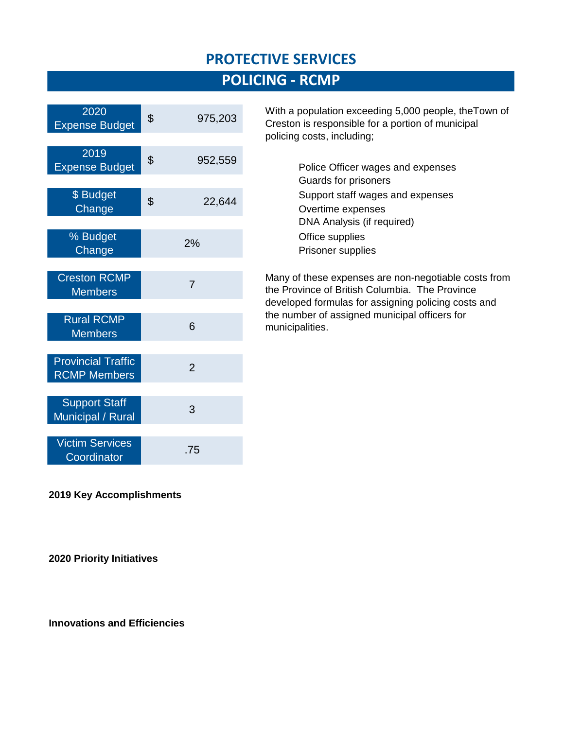### **PROTECTIVE SERVICES**

# **POLICING - RCMP**

| 2020<br><b>Expense Budget</b>                    | \$<br>975,203  |
|--------------------------------------------------|----------------|
| 2019<br><b>Expense Budget</b>                    | \$<br>952,559  |
| \$ Budget<br>Change                              | \$<br>22,644   |
| % Budget<br>Change                               | 2%             |
| <b>Creston RCMP</b><br><b>Members</b>            | $\overline{7}$ |
| <b>Rural RCMP</b><br><b>Members</b>              | 6              |
| <b>Provincial Traffic</b><br><b>RCMP Members</b> | $\overline{2}$ |
| <b>Support Staff</b><br>Municipal / Rural        | 3              |
| <b>Victim Services</b><br>Coordinator            | .75            |

With a population exceeding 5,000 people, theTown of Creston is responsible for a portion of municipal policing costs, including;

> Police Officer wages and expenses Guards for prisoners Support staff wages and expenses Overtime expenses DNA Analysis (if required) Office supplies Prisoner supplies

Many of these expenses are non-negotiable costs from the Province of British Columbia. The Province developed formulas for assigning policing costs and the number of assigned municipal officers for municipalities.

**2019 Key Accomplishments**

**2020 Priority Initiatives** 

**Innovations and Efficiencies**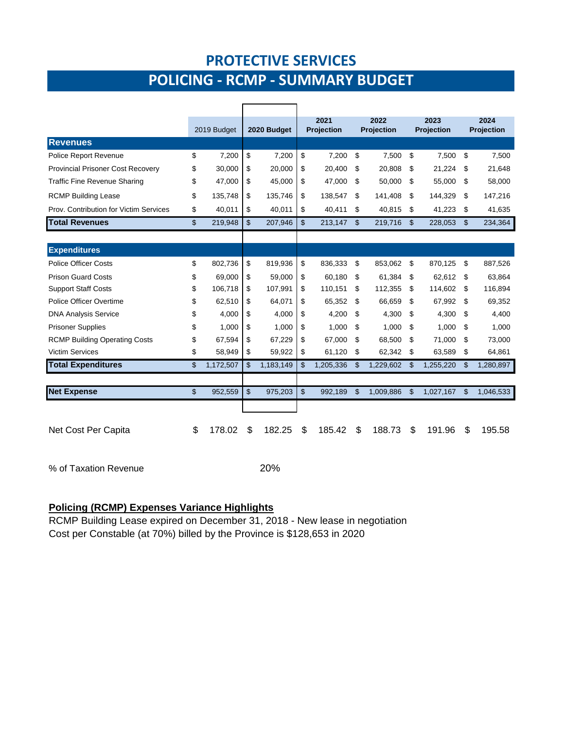### **PROTECTIVE SERVICES**

# **POLICING - RCMP - SUMMARY BUDGET**

|                                          | 2019 Budget     | 2020 Budget     |                | 2021<br><b>Projection</b> |    | 2022<br><b>Projection</b> | 2023<br><b>Projection</b> |           |    | 2024<br><b>Projection</b> |  |
|------------------------------------------|-----------------|-----------------|----------------|---------------------------|----|---------------------------|---------------------------|-----------|----|---------------------------|--|
| <b>Revenues</b>                          |                 |                 |                |                           |    |                           |                           |           |    |                           |  |
| <b>Police Report Revenue</b>             | \$<br>7,200     | \$<br>7,200     | \$             | 7,200                     | \$ | 7,500                     | \$                        | 7,500     | \$ | 7,500                     |  |
| <b>Provincial Prisoner Cost Recovery</b> | \$<br>30,000    | \$<br>20,000    | \$             | 20.400                    | \$ | 20,808                    | \$                        | 21,224    | \$ | 21,648                    |  |
| <b>Traffic Fine Revenue Sharing</b>      | \$<br>47,000    | \$<br>45,000    | \$             | 47,000                    | \$ | 50,000                    | \$                        | 55,000    | \$ | 58,000                    |  |
| <b>RCMP Building Lease</b>               | \$<br>135.748   | \$<br>135,746   | \$             | 138.547                   | \$ | 141.408                   | \$                        | 144,329   | S  | 147,216                   |  |
| Prov. Contribution for Victim Services   | \$<br>40,011    | \$<br>40,011    | \$             | 40,411                    | \$ | 40,815                    | \$                        | 41,223    | \$ | 41,635                    |  |
| <b>Total Revenues</b>                    | \$<br>219,948   | \$<br>207,946   | \$             | 213,147                   | \$ | 219,716                   | \$                        | 228,053   | \$ | 234,364                   |  |
|                                          |                 |                 |                |                           |    |                           |                           |           |    |                           |  |
| <b>Expenditures</b>                      |                 |                 |                |                           |    |                           |                           |           |    |                           |  |
| <b>Police Officer Costs</b>              | \$<br>802,736   | \$<br>819,936   | \$             | 836,333                   | \$ | 853,062                   | \$                        | 870,125   | \$ | 887,526                   |  |
| <b>Prison Guard Costs</b>                | \$<br>69.000    | \$<br>59.000    | \$             | 60.180                    | \$ | 61.384                    | \$                        | 62.612    | \$ | 63.864                    |  |
| <b>Support Staff Costs</b>               | \$<br>106,718   | \$<br>107,991   | \$             | 110,151                   | \$ | 112,355                   | \$                        | 114,602   | S  | 116,894                   |  |
| Police Officer Overtime                  | \$<br>62,510    | \$<br>64,071    | \$             | 65,352                    | \$ | 66,659                    | \$                        | 67,992    | \$ | 69,352                    |  |
| <b>DNA Analysis Service</b>              | \$<br>4.000     | \$<br>4.000     | \$             | 4.200                     | \$ | 4,300                     | \$                        | 4,300     | \$ | 4,400                     |  |
| <b>Prisoner Supplies</b>                 | \$<br>1,000     | \$<br>1.000     | \$             | 1.000                     | \$ | 1,000                     | \$                        | 1.000     | \$ | 1.000                     |  |
| <b>RCMP Building Operating Costs</b>     | \$<br>67,594    | \$<br>67,229    | \$             | 67,000                    | \$ | 68,500                    | \$                        | 71,000    | \$ | 73,000                    |  |
| <b>Victim Services</b>                   | \$<br>58,949    | \$<br>59,922    | \$             | 61,120                    | \$ | 62,342                    | \$                        | 63,589    | \$ | 64,861                    |  |
| <b>Total Expenditures</b>                | \$<br>1,172,507 | \$<br>1,183,149 | \$             | 1,205,336                 | \$ | 1,229,602                 | \$                        | 1,255,220 | \$ | 1,280,897                 |  |
|                                          |                 |                 |                |                           |    |                           |                           |           |    |                           |  |
| <b>Net Expense</b>                       | \$<br>952,559   | \$<br>975,203   | $\mathfrak{L}$ | 992,189                   | \$ | 1,009,886                 | \$                        | 1,027,167 | \$ | 1,046,533                 |  |
|                                          |                 |                 |                |                           |    |                           |                           |           |    |                           |  |
| Net Cost Per Capita                      | \$<br>178.02    | \$<br>182.25    | \$             | 185.42                    | \$ | 188.73                    | \$                        | 191.96    | \$ | 195.58                    |  |

% of Taxation Revenue 20%

#### **Policing (RCMP) Expenses Variance Highlights**

RCMP Building Lease expired on December 31, 2018 - New lease in negotiation Cost per Constable (at 70%) billed by the Province is \$128,653 in 2020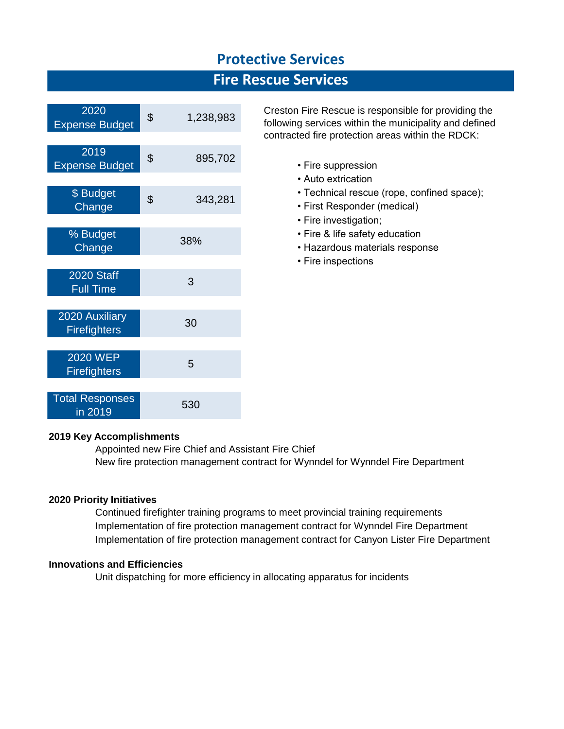### **Protective Services**

### **Fire Rescue Services**

| 2020<br><b>Expense Budget</b>          | \$<br>1,238,983 |
|----------------------------------------|-----------------|
|                                        |                 |
| 2019<br><b>Expense Budget</b>          | \$<br>895,702   |
|                                        |                 |
| \$ Budget<br>Change                    | \$<br>343,281   |
|                                        |                 |
| % Budget<br>Change                     | 38%             |
|                                        |                 |
| <b>2020 Staff</b><br><b>Full Time</b>  | 3               |
|                                        |                 |
| 2020 Auxiliary<br><b>Firefighters</b>  | 30              |
|                                        |                 |
| <b>2020 WEP</b><br><b>Firefighters</b> | 5               |
|                                        |                 |
| <b>Total Responses</b><br>in 2019      | 530             |

Creston Fire Rescue is responsible for providing the following services within the municipality and defined contracted fire protection areas within the RDCK:

- Fire suppression
- Auto extrication
- Technical rescue (rope, confined space);
- First Responder (medical)
- Fire investigation;
- Fire & life safety education
- Hazardous materials response
- Fire inspections

#### **2019 Key Accomplishments**

Appointed new Fire Chief and Assistant Fire Chief New fire protection management contract for Wynndel for Wynndel Fire Department

#### **2020 Priority Initiatives**

Continued firefighter training programs to meet provincial training requirements Implementation of fire protection management contract for Wynndel Fire Department Implementation of fire protection management contract for Canyon Lister Fire Department

#### **Innovations and Efficiencies**

Unit dispatching for more efficiency in allocating apparatus for incidents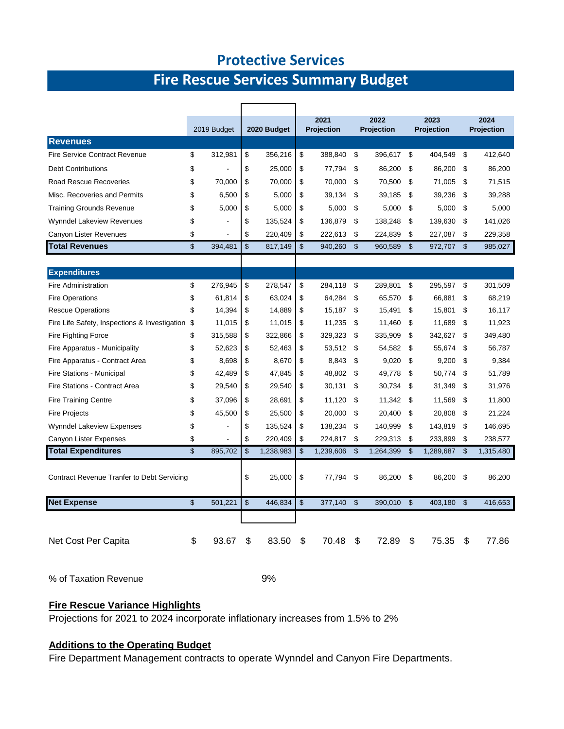### **Protective Services**

# **Fire Rescue Services Summary Budget**

|                                                   | 2019 Budget   | 2020 Budget     |    | 2021<br>Projection |                | 2022<br><b>Projection</b> | 2023<br>Projection |           |                | 2024<br>Projection |  |
|---------------------------------------------------|---------------|-----------------|----|--------------------|----------------|---------------------------|--------------------|-----------|----------------|--------------------|--|
| <b>Revenues</b>                                   |               |                 |    |                    |                |                           |                    |           |                |                    |  |
| <b>Fire Service Contract Revenue</b>              | \$<br>312,981 | \$<br>356,216   | \$ | 388,840            | \$             | 396,617                   | \$                 | 404,549   | \$             | 412,640            |  |
| <b>Debt Contributions</b>                         | \$            | \$<br>25,000    | \$ | 77,794             | \$             | 86,200                    | \$                 | 86,200    | -\$            | 86,200             |  |
| <b>Road Rescue Recoveries</b>                     | \$<br>70.000  | \$<br>70,000    | \$ | 70,000             | \$             | 70,500                    | \$                 | 71,005    | \$             | 71,515             |  |
| Misc. Recoveries and Permits                      | \$<br>6,500   | \$<br>5,000     | \$ | 39,134             | \$             | 39,185                    | \$                 | 39,236    | \$             | 39,288             |  |
| <b>Training Grounds Revenue</b>                   | \$<br>5,000   | \$<br>5,000     | \$ | 5.000              | \$             | 5,000                     | \$                 | 5,000     | \$             | 5,000              |  |
| <b>Wynndel Lakeview Revenues</b>                  | \$            | \$<br>135,524   | \$ | 136,879            | \$             | 138,248                   | \$                 | 139,630   | \$             | 141,026            |  |
| Canyon Lister Revenues                            | \$            | \$<br>220,409   | \$ | 222,613            | \$             | 224,839                   | \$                 | 227,087   | \$             | 229,358            |  |
| <b>Total Revenues</b>                             | \$<br>394,481 | \$<br>817,149   | \$ | 940,260            | \$             | 960,589                   | \$                 | 972,707   | $\mathsf{\$}$  | 985,027            |  |
|                                                   |               |                 |    |                    |                |                           |                    |           |                |                    |  |
| <b>Expenditures</b>                               |               |                 |    |                    |                |                           |                    |           |                |                    |  |
| <b>Fire Administration</b>                        | \$<br>276,945 | \$<br>278,547   | \$ | 284,118            | \$             | 289,801                   | \$                 | 295,597   | \$             | 301,509            |  |
| <b>Fire Operations</b>                            | \$<br>61,814  | \$<br>63,024    | \$ | 64,284             | \$             | 65,570                    | \$                 | 66,881    | \$             | 68,219             |  |
| <b>Rescue Operations</b>                          | \$<br>14,394  | \$<br>14,889    | \$ | 15,187             | \$             | 15,491                    | \$                 | 15,801    | \$             | 16,117             |  |
| Fire Life Safety, Inspections & Investigation \$  | 11.015        | \$<br>11,015    | \$ | 11.235             | \$             | 11.460                    | \$                 | 11.689    | \$             | 11,923             |  |
| Fire Fighting Force                               | \$<br>315,588 | \$<br>322,866   | \$ | 329,323            | \$             | 335,909                   | \$                 | 342,627   | \$             | 349,480            |  |
| Fire Apparatus - Municipality                     | \$<br>52,623  | \$<br>52,463    | \$ | 53,512             | \$             | 54,582                    | \$                 | 55,674    | \$             | 56,787             |  |
| Fire Apparatus - Contract Area                    | \$<br>8,698   | \$<br>8,670     | \$ | 8,843              | \$             | 9,020                     | \$                 | 9,200     | \$             | 9,384              |  |
| Fire Stations - Municipal                         | \$<br>42,489  | \$<br>47,845    | \$ | 48,802             | \$             | 49,778                    | \$                 | 50,774    | \$             | 51,789             |  |
| Fire Stations - Contract Area                     | \$<br>29,540  | \$<br>29,540    | \$ | 30,131             | \$             | 30,734                    | \$                 | 31,349    | \$             | 31,976             |  |
| <b>Fire Training Centre</b>                       | \$<br>37,096  | \$<br>28,691    | \$ | 11,120             | \$             | 11,342                    | \$                 | 11,569    | \$             | 11,800             |  |
| <b>Fire Projects</b>                              | \$<br>45,500  | \$<br>25,500    | \$ | 20,000             | \$             | 20,400                    | \$                 | 20,808    | \$             | 21,224             |  |
| <b>Wynndel Lakeview Expenses</b>                  | \$            | \$<br>135,524   | \$ | 138,234            | \$             | 140,999                   | \$                 | 143,819   | \$             | 146,695            |  |
| Canyon Lister Expenses                            | \$            | \$<br>220,409   | \$ | 224,817            | \$             | 229,313                   | \$                 | 233,899   | \$             | 238,577            |  |
| <b>Total Expenditures</b>                         | \$<br>895.702 | \$<br>1,238,983 | \$ | 1,239,606          | $\mathfrak{s}$ | 1,264,399                 | $\mathsf{\$}$      | 1,289,687 | $\mathfrak{L}$ | 1,315,480          |  |
|                                                   |               |                 |    |                    |                |                           |                    |           |                |                    |  |
| <b>Contract Revenue Tranfer to Debt Servicing</b> |               | \$<br>25,000    | \$ | 77,794             | \$             | 86,200                    | \$                 | 86,200    | \$             | 86,200             |  |
| <b>Net Expense</b>                                | \$<br>501,221 | \$<br>446,834   | \$ | 377,140            | \$             | 390,010                   | \$                 | 403,180   | \$             | 416,653            |  |
|                                                   |               |                 |    |                    |                |                           |                    |           |                |                    |  |
|                                                   |               |                 |    |                    |                |                           |                    |           |                |                    |  |
| Net Cost Per Capita                               | \$<br>93.67   | \$<br>83.50     | \$ | 70.48              | \$             | 72.89                     | \$                 | 75.35     | \$             | 77.86              |  |

% of Taxation Revenue 9%

#### **Fire Rescue Variance Highlights**

Projections for 2021 to 2024 incorporate inflationary increases from 1.5% to 2%

#### **Additions to the Operating Budget**

Fire Department Management contracts to operate Wynndel and Canyon Fire Departments.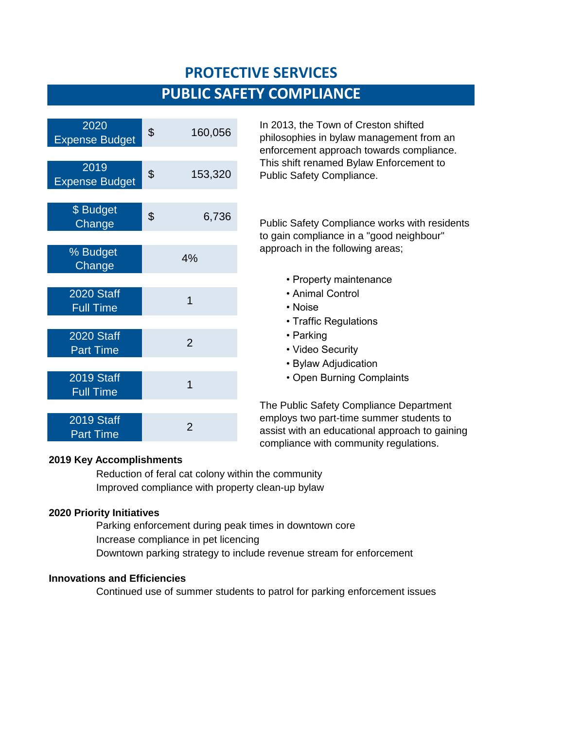# **PROTECTIVE SERVICES PUBLIC SAFETY COMPLIANCE**

| 2020<br><b>Expense Budget</b>         | \$<br>160,056  | In 2013, the<br>philosophies       |
|---------------------------------------|----------------|------------------------------------|
|                                       |                | enforcement<br>This shift ren      |
| 2019<br><b>Expense Budget</b>         | \$<br>153,320  | <b>Public Safety</b>               |
|                                       |                |                                    |
| \$ Budget<br>Change                   | \$<br>6,736    | <b>Public Safety</b>               |
|                                       |                | to gain comp                       |
| % Budget<br>Change                    | 4%             | approach in t                      |
|                                       |                | • Prope                            |
| <b>2020 Staff</b><br><b>Full Time</b> | $\overline{1}$ | • Anima<br>• Noise                 |
|                                       |                | • Traffio                          |
| <b>2020 Staff</b><br><b>Part Time</b> | $\overline{2}$ | • Parkir<br>• Video                |
|                                       |                | • Bylaw                            |
| 2019 Staff<br><b>Full Time</b>        | 1              | • Open                             |
|                                       |                | The Public Sa                      |
| 2019 Staff<br><b>Part Time</b>        | $\overline{2}$ | employs two<br>assist with ar<br>. |

In 2013, the Town of Creston shifted philosophies in bylaw management from an enforcement approach towards compliance. This shift renamed Bylaw Enforcement to Public Safety Compliance.

Public Safety Compliance works with residents to gain compliance in a "good neighbour" approach in the following areas;

- Property maintenance
- Animal Control
- 
- Traffic Regulations
- Parking
- Video Security
- Bylaw Adjudication
- Open Burning Complaints

The Public Safety Compliance Department employs two part-time summer students to assist with an educational approach to gaining compliance with community regulations.

#### **2019 Key Accomplishments**

Reduction of feral cat colony within the community Improved compliance with property clean-up bylaw

#### **2020 Priority Initiatives**

Parking enforcement during peak times in downtown core Increase compliance in pet licencing Downtown parking strategy to include revenue stream for enforcement

#### **Innovations and Efficiencies**

Continued use of summer students to patrol for parking enforcement issues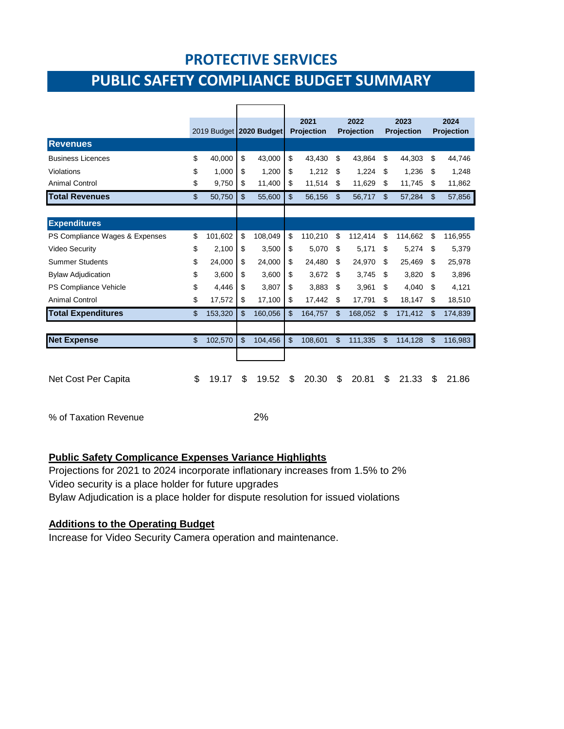### **PROTECTIVE SERVICES**

# **PUBLIC SAFETY COMPLIANCE BUDGET SUMMARY**

|                                |               | 2019 Budget 2020 Budget | 2021<br><b>Projection</b> |               | 2022<br>Projection |                | 2023<br>Projection |                | 2024<br><b>Projection</b> |
|--------------------------------|---------------|-------------------------|---------------------------|---------------|--------------------|----------------|--------------------|----------------|---------------------------|
| <b>Revenues</b>                |               |                         |                           |               |                    |                |                    |                |                           |
| <b>Business Licences</b>       | \$<br>40,000  | \$<br>43,000            | \$<br>43,430              | S             | 43,864             | S              | 44,303             | \$             | 44,746                    |
| Violations                     | \$<br>1,000   | \$<br>1,200             | \$<br>1,212               | \$            | 1,224              | \$             | 1,236              | \$             | 1,248                     |
| <b>Animal Control</b>          | \$<br>9,750   | \$<br>11,400            | \$<br>11,514              | \$            | 11,629             | \$             | 11,745             | \$             | 11,862                    |
| <b>Total Revenues</b>          | \$<br>50,750  | \$<br>55,600            | \$<br>56,156              | \$            | 56,717             | $\mathfrak{L}$ | 57,284             | $\mathfrak{L}$ | 57,856                    |
|                                |               |                         |                           |               |                    |                |                    |                |                           |
| <b>Expenditures</b>            |               |                         |                           |               |                    |                |                    |                |                           |
| PS Compliance Wages & Expenses | \$<br>101,602 | \$<br>108,049           | \$<br>110,210             | \$            | 112,414            | \$             | 114,662            | \$             | 116,955                   |
| <b>Video Security</b>          | \$<br>2,100   | \$<br>3,500             | \$<br>5,070               | S             | 5,171              | S              | 5,274              | \$             | 5,379                     |
| <b>Summer Students</b>         | \$<br>24,000  | \$<br>24,000            | \$<br>24,480              | \$.           | 24,970             | S              | 25,469             | S              | 25,978                    |
| <b>Bylaw Adjudication</b>      | \$<br>3,600   | \$<br>3,600             | \$<br>3,672               | \$            | 3,745              | \$             | 3,820              | \$             | 3,896                     |
| PS Compliance Vehicle          | \$<br>4,446   | \$<br>3,807             | \$<br>3,883               | \$.           | 3,961              | \$             | 4,040              | \$             | 4,121                     |
| <b>Animal Control</b>          | \$<br>17,572  | \$<br>17,100            | \$<br>17,442              | \$            | 17,791             | \$             | 18,147             | \$             | 18,510                    |
| <b>Total Expenditures</b>      | \$<br>153,320 | \$<br>160,056           | \$<br>164,757             | \$            | 168,052            | \$             | 171,412            | \$             | 174,839                   |
| <b>Net Expense</b>             | \$<br>102,570 | \$<br>104,456           | \$<br>108,601             | $\mathsf{\$}$ | 111,335            | $\mathfrak{S}$ | 114,128            | $\mathfrak{F}$ | 116,983                   |
|                                |               |                         |                           |               |                    |                |                    |                |                           |
| Net Cost Per Capita            | \$<br>19.17   | \$<br>19.52             | \$<br>20.30               | \$            | 20.81              | \$             | 21.33              | \$             | 21.86                     |
| % of Taxation Revenue          |               | 2%                      |                           |               |                    |                |                    |                |                           |

### **Public Safety Complicance Expenses Variance Highlights**

Projections for 2021 to 2024 incorporate inflationary increases from 1.5% to 2% Video security is a place holder for future upgrades Bylaw Adjudication is a place holder for dispute resolution for issued violations

#### **Additions to the Operating Budget**

Increase for Video Security Camera operation and maintenance.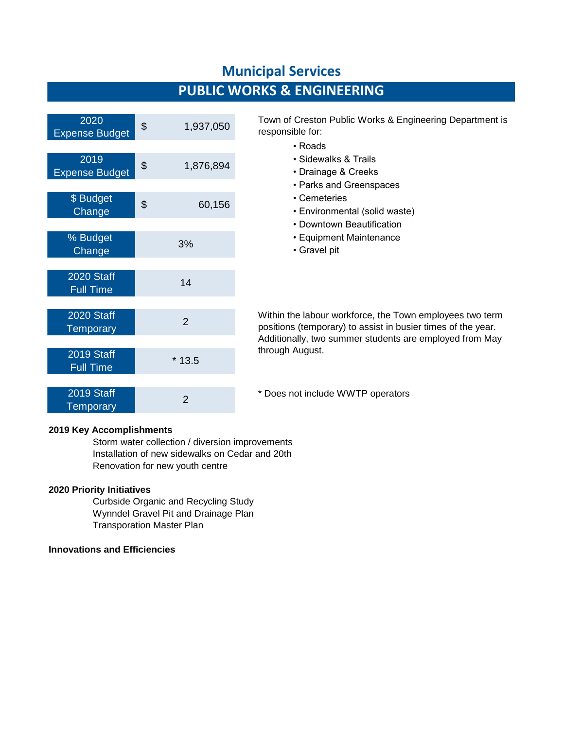### **PUBLIC WORKS & ENGINEERING**

| 2020<br><b>Expense Budget</b>         | \$<br>1,937,050 | Town of Creston Pub<br>responsible for:        |
|---------------------------------------|-----------------|------------------------------------------------|
|                                       |                 | • Roads                                        |
| 2019<br><b>Expense Budget</b>         | \$<br>1,876,894 | • Sidewalks &<br>• Drainage &                  |
|                                       |                 | • Parks and 0                                  |
| \$ Budget<br>Change                   | \$<br>60,156    | • Cemeteries<br>• Environmer                   |
|                                       |                 | • Downtown I                                   |
| % Budget<br>Change                    | 3%              | • Equipment<br>• Gravel pit                    |
|                                       |                 |                                                |
| <b>2020 Staff</b><br><b>Full Time</b> | 14              |                                                |
|                                       |                 |                                                |
| 2020 Staff<br><b>Temporary</b>        | $\overline{2}$  | Within the labour wor<br>positions (temporary) |
|                                       |                 | Additionally, two sum                          |
| 2019 Staff<br><b>Full Time</b>        | $*13.5$         | through August.                                |
|                                       |                 |                                                |
| 2019 Staff<br>Temporary               | $\overline{2}$  | * Does not include W                           |

Town of Creston Public Works & Engineering Department is responsible for:

- Roads
- Sidewalks & Trails
- Drainage & Creeks
- Parks and Greenspaces
- 
- Environmental (solid waste)
- Downtown Beautification
- Equipment Maintenance
- Gravel pit

Within the labour workforce, the Town employees two term positions (temporary) to assist in busier times of the year. Additionally, two summer students are employed from May through August.

\* Does not include WWTP operators

#### **2019 Key Accomplishments**

Storm water collection / diversion improvements Installation of new sidewalks on Cedar and 20th Renovation for new youth centre

#### **2020 Priority Initiatives**

Curbside Organic and Recycling Study Wynndel Gravel Pit and Drainage Plan Transporation Master Plan

#### **Innovations and Efficiencies**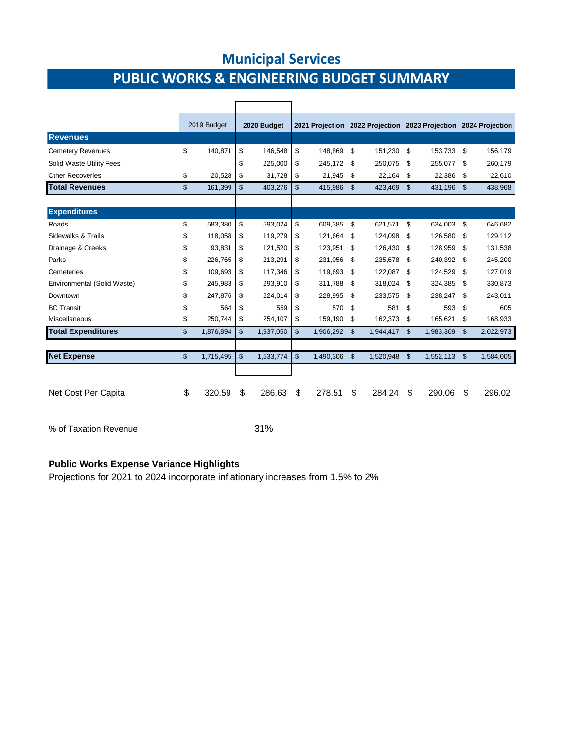# **PUBLIC WORKS & ENGINEERING BUDGET SUMMARY**

|                             |                | 2019 Budget | 2020 Budget     |                | 2021 Projection 2022 Projection 2023 Projection 2024 Projection |                    |           |                    |           |    |           |  |
|-----------------------------|----------------|-------------|-----------------|----------------|-----------------------------------------------------------------|--------------------|-----------|--------------------|-----------|----|-----------|--|
| <b>Revenues</b>             |                |             |                 |                |                                                                 |                    |           |                    |           |    |           |  |
| <b>Cemetery Revenues</b>    | \$             | 140,871     | \$<br>146,548   | \$             | 148,869                                                         | \$                 | 151,230   | -\$                | 153,733   | \$ | 156,179   |  |
| Solid Waste Utility Fees    |                |             | \$<br>225,000   | \$             | 245,172                                                         | \$                 | 250.075   | \$                 | 255,077   | S  | 260,179   |  |
| <b>Other Recoveries</b>     | \$             | 20,528      | \$<br>31,728    | \$             | 21,945                                                          | \$                 | 22,164    | \$                 | 22,386    | \$ | 22,610    |  |
| <b>Total Revenues</b>       | \$             | 161,399     | \$<br>403,276   | \$             | 415,986                                                         | $\mathbf{\hat{S}}$ | 423,469   | $\mathbf{\$}$      | 431,196   | \$ | 438,968   |  |
| <b>Expenditures</b>         |                |             |                 |                |                                                                 |                    |           |                    |           |    |           |  |
| Roads                       | \$             | 583,380     | \$<br>593,024   | \$             | 609,385                                                         | \$                 | 621,571   | \$                 | 634,003   | \$ | 646,682   |  |
| Sidewalks & Trails          | \$             | 118,058     | \$<br>119,279   | \$             | 121,664                                                         | \$                 | 124,098   | \$                 | 126,580   | \$ | 129,112   |  |
| Drainage & Creeks           | \$             | 93,831      | \$<br>121,520   | \$             | 123,951                                                         | \$                 | 126,430   | -\$                | 128,959   | \$ | 131,538   |  |
| Parks                       | \$             | 226,765     | \$<br>213,291   | \$             | 231,056                                                         | \$                 | 235.678   | \$                 | 240,392   | \$ | 245,200   |  |
| Cemeteries                  | \$             | 109,693     | \$<br>117,346   | \$             | 119,693                                                         | \$                 | 122,087   | \$                 | 124,529   | \$ | 127,019   |  |
| Environmental (Solid Waste) | \$             | 245,983     | \$<br>293,910   | \$             | 311,788                                                         | \$                 | 318,024   | -\$                | 324,385   | \$ | 330,873   |  |
| Downtown                    | \$             | 247,876     | \$<br>224,014   | \$             | 228,995                                                         | \$                 | 233,575   | \$                 | 238,247   | \$ | 243,011   |  |
| <b>BC Transit</b>           | \$             | 564         | \$<br>559       | \$             | 570                                                             | \$                 | 581       | \$                 | 593       | \$ | 605       |  |
| Miscellaneous               | \$             | 250,744     | \$<br>254,107   | \$             | 159,190                                                         | \$                 | 162,373   | \$                 | 165,621   | \$ | 168,933   |  |
| <b>Total Expenditures</b>   | \$             | 1,876,894   | \$<br>1,937,050 | $\mathfrak{L}$ | 1,906,292 \$                                                    |                    | 1,944,417 | \$                 | 1,983,309 | \$ | 2,022,973 |  |
|                             |                |             |                 |                |                                                                 |                    |           |                    |           |    |           |  |
| <b>Net Expense</b>          | $\mathfrak{S}$ | 1,715,495   | \$<br>1,533,774 | $\mathfrak{S}$ | 1,490,306 \$                                                    |                    | 1,520,948 | $\mathbf{\hat{s}}$ | 1,552,113 | \$ | 1,584,005 |  |
|                             |                |             |                 |                |                                                                 |                    |           |                    |           |    |           |  |
| Net Cost Per Capita         | \$             | 320.59      | \$<br>286.63    | \$             | 278.51                                                          | \$                 | 284.24    | \$                 | 290.06    | \$ | 296.02    |  |
| % of Taxation Revenue       |                |             | 31%             |                |                                                                 |                    |           |                    |           |    |           |  |

#### **Public Works Expense Variance Highlights**

Projections for 2021 to 2024 incorporate inflationary increases from 1.5% to 2%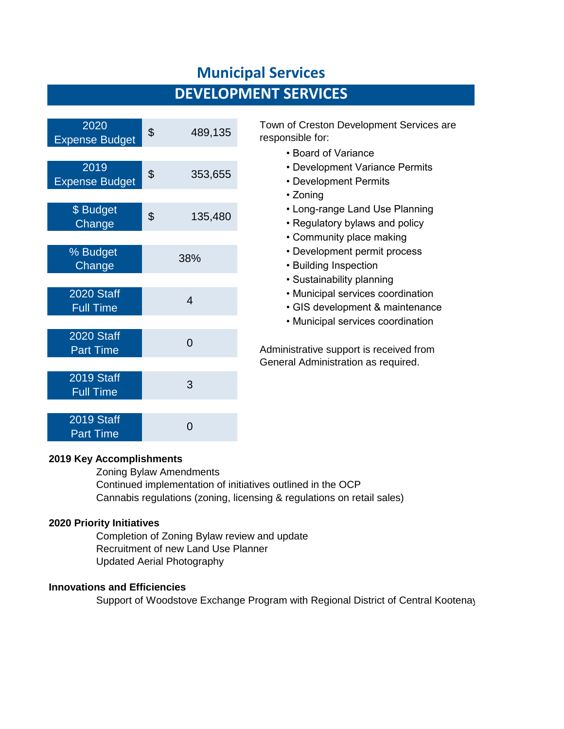# **DEVELOPMENT SERVICES**

| 2020<br><b>Expense Budget</b>         | \$<br>489,135 |
|---------------------------------------|---------------|
| 2019<br><b>Expense Budget</b>         | \$<br>353,655 |
| <b>\$</b> Budget<br>Change            | \$<br>135,480 |
| % Budget<br>Change                    | 38%           |
| <b>2020 Staff</b><br><b>Full Time</b> | 4             |
| 2020 Staff                            | $\Omega$      |
| <b>Part Time</b><br>2019 Staff        | 3             |
| <b>Full Time</b><br>2019 Staff        |               |
| <b>Part Time</b>                      | በ             |

Town of Creston Development Services are responsible for:

- Board of Variance
- Development Variance Permits
- Development Permits
- Zoning
- Long-range Land Use Planning
- Regulatory bylaws and policy
- Community place making
- Development permit process
- Building Inspection
- Sustainability planning
- Municipal services coordination
- GIS development & maintenance
- Municipal services coordination

Administrative support is received from General Administration as required.

#### **2019 Key Accomplishments**

Zoning Bylaw Amendments Continued implementation of initiatives outlined in the OCP Cannabis regulations (zoning, licensing & regulations on retail sales)

#### **2020 Priority Initiatives**

Completion of Zoning Bylaw review and update Recruitment of new Land Use Planner Updated Aerial Photography

#### **Innovations and Efficiencies**

Support of Woodstove Exchange Program with Regional District of Central Kootenay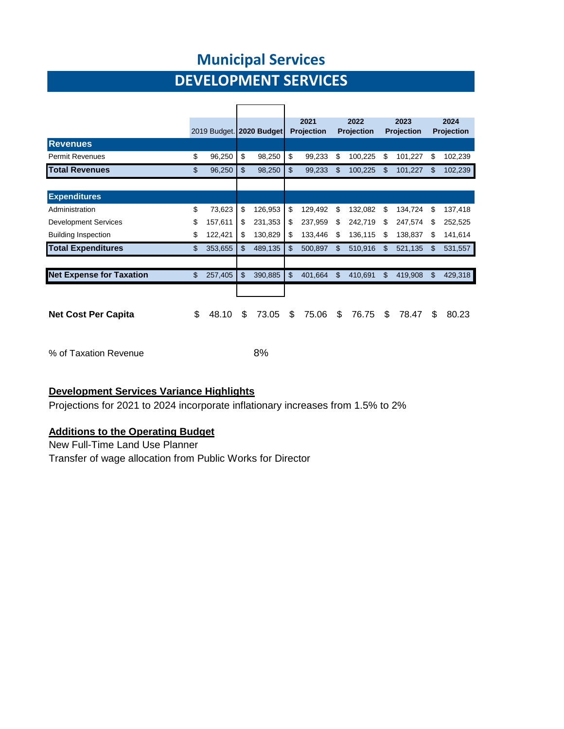# **DEVELOPMENT SERVICES**

|                                 |                | 2019 Budget. 2020 Budget |                |         | 2021<br><b>Projection</b> |     | 2022<br>Projection |     | 2023<br><b>Projection</b> |     | 2024<br>Projection |
|---------------------------------|----------------|--------------------------|----------------|---------|---------------------------|-----|--------------------|-----|---------------------------|-----|--------------------|
| <b>Revenues</b>                 |                |                          |                |         |                           |     |                    |     |                           |     |                    |
| <b>Permit Revenues</b>          | \$             | 96,250                   | \$             | 98,250  | \$<br>99,233              | \$  | 100,225            | \$  | 101,227                   | \$  | 102,239            |
| <b>Total Revenues</b>           | $\mathfrak{L}$ | 96,250                   | \$             | 98,250  | \$<br>99,233              | \$. | 100,225            | \$. | 101,227                   | \$. | 102,239            |
|                                 |                |                          |                |         |                           |     |                    |     |                           |     |                    |
| <b>Expenditures</b>             |                |                          |                |         |                           |     |                    |     |                           |     |                    |
| Administration                  | \$             | 73,623                   | \$             | 126,953 | \$<br>129,492             | \$  | 132,082            | S   | 134,724                   | \$  | 137,418            |
| <b>Development Services</b>     | \$             | 157,611                  | \$             | 231,353 | \$<br>237,959             | S   | 242,719            | S   | 247,574                   | S   | 252,525            |
| <b>Building Inspection</b>      | \$             | 122,421                  | \$             | 130,829 | \$<br>133,446             | S   | 136,115            | S   | 138,837                   | S   | 141,614            |
| <b>Total Expenditures</b>       | \$             | 353,655                  | $\mathfrak{L}$ | 489,135 | \$<br>500,897             | \$. | 510,916            | S   | 521,135                   | \$  | 531,557            |
|                                 |                |                          |                |         |                           |     |                    |     |                           |     |                    |
| <b>Net Expense for Taxation</b> | \$             | 257,405                  | \$             | 390,885 | \$<br>401,664             | \$  | 410,691            | \$  | 419,908                   | \$  | 429,318            |
|                                 |                |                          |                |         |                           |     |                    |     |                           |     |                    |
|                                 |                |                          |                |         |                           |     |                    |     |                           |     |                    |
| <b>Net Cost Per Capita</b>      | \$             | 48.10                    | S              | 73.05   | \$<br>75.06               | \$. | 76.75              | S   | 78.47                     | S.  | 80.23              |

% of Taxation Revenue 8%

#### **Development Services Variance Highlights**

Projections for 2021 to 2024 incorporate inflationary increases from 1.5% to 2%

#### **Additions to the Operating Budget**

New Full-Time Land Use Planner Transfer of wage allocation from Public Works for Director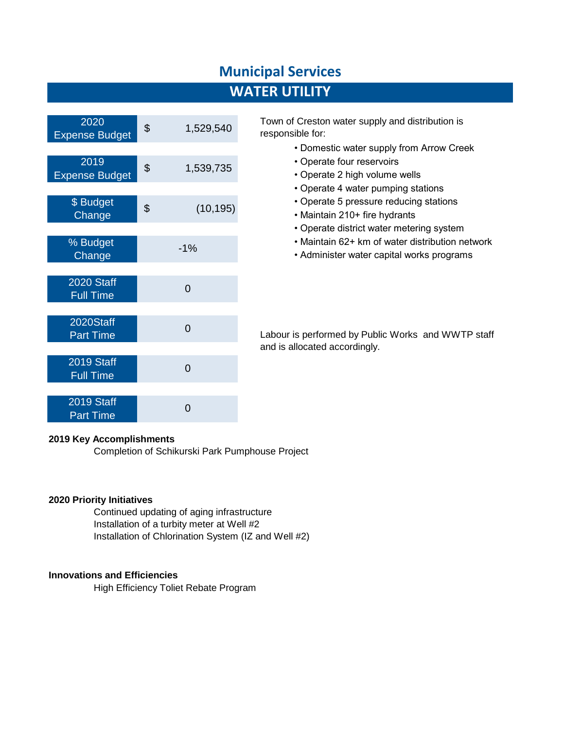### **WATER UTILITY**

| 2020<br><b>Expense Budget</b>         | \$<br>1,529,540 |
|---------------------------------------|-----------------|
|                                       |                 |
| 2019<br><b>Expense Budget</b>         | \$<br>1,539,735 |
|                                       |                 |
| \$ Budget<br>Change                   | \$<br>(10, 195) |
|                                       |                 |
| % Budget<br>Change                    | $-1%$           |
|                                       |                 |
| <b>2020 Staff</b><br><b>Full Time</b> | $\overline{0}$  |
|                                       |                 |
| 2020Staff<br><b>Part Time</b>         | $\overline{0}$  |
|                                       |                 |
| 2019 Staff<br><b>Full Time</b>        | 0               |
|                                       |                 |
| 2019 Staff<br><b>Part Time</b>        | ი               |

Town of Creston water supply and distribution is responsible for:

- Domestic water supply from Arrow Creek
- Operate four reservoirs
- Operate 2 high volume wells
- Operate 4 water pumping stations
- Operate 5 pressure reducing stations
- Maintain 210+ fire hydrants
- Operate district water metering system
- Maintain 62+ km of water distribution network
- Administer water capital works programs

Labour is performed by Public Works and WWTP staff and is allocated accordingly.

#### **2019 Key Accomplishments**

Completion of Schikurski Park Pumphouse Project

#### **2020 Priority Initiatives**

Continued updating of aging infrastructure Installation of a turbity meter at Well #2 Installation of Chlorination System (IZ and Well #2)

#### **Innovations and Efficiencies**

High Efficiency Toliet Rebate Program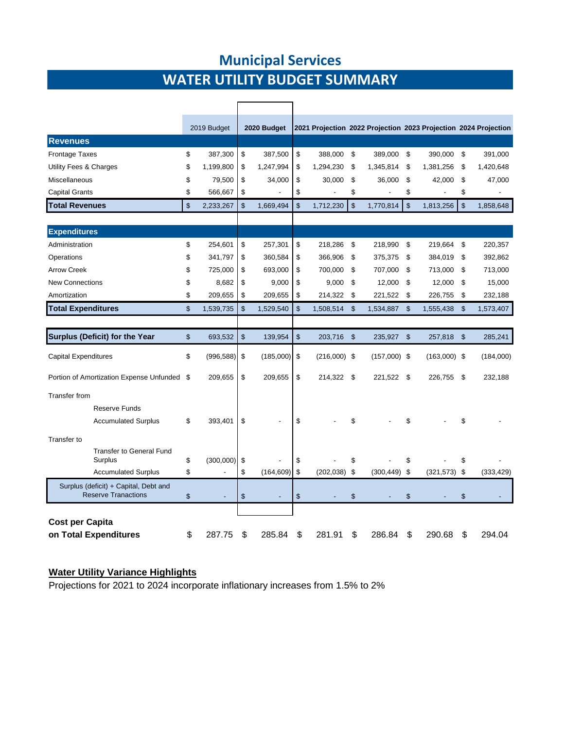# **WATER UTILITY BUDGET SUMMARY Municipal Services**

|                                                                     |    | 2019 Budget              | 2020 Budget                    |                |                 | 2021 Projection 2022 Projection 2023 Projection 2024 Projection |               |                          |                |            |
|---------------------------------------------------------------------|----|--------------------------|--------------------------------|----------------|-----------------|-----------------------------------------------------------------|---------------|--------------------------|----------------|------------|
| <b>Revenues</b>                                                     |    |                          |                                |                |                 |                                                                 |               |                          |                |            |
| <b>Frontage Taxes</b>                                               | \$ | 387,300                  | \$<br>387,500                  | \$             | 388,000         | \$<br>389,000                                                   | \$            | 390,000                  | \$             | 391,000    |
| Utility Fees & Charges                                              | S  | 1,199,800                | \$<br>1,247,994                | \$             | 1,294,230       | \$<br>1,345,814                                                 | \$            | 1,381,256                | \$             | 1,420,648  |
| Miscellaneous                                                       | \$ | 79,500                   | \$<br>34,000                   | \$             | 30,000          | \$<br>36,000                                                    | \$            | 42,000                   | \$             | 47,000     |
| <b>Capital Grants</b>                                               | \$ | 566,667                  | \$                             | \$             |                 | \$                                                              | \$            | $\overline{\phantom{a}}$ | \$             |            |
| <b>Total Revenues</b>                                               | \$ | 2,233,267                | \$<br>1,669,494                | \$             | 1,712,230       | \$<br>1,770,814                                                 | \$            | 1,813,256                | $\mathfrak{s}$ | 1,858,648  |
|                                                                     |    |                          |                                |                |                 |                                                                 |               |                          |                |            |
| <b>Expenditures</b>                                                 |    |                          |                                |                |                 |                                                                 |               |                          |                |            |
| Administration                                                      | \$ | 254,601                  | \$<br>257,301                  | \$             | 218,286         | \$<br>218,990                                                   | \$            | 219,664                  | \$             | 220,357    |
| Operations                                                          | \$ | 341,797                  | \$<br>360,584                  | \$             | 366,906         | \$<br>375,375                                                   | -\$           | 384,019                  | \$             | 392,862    |
| <b>Arrow Creek</b>                                                  | \$ | 725,000                  | \$<br>693,000                  | \$             | 700,000         | \$<br>707,000                                                   | \$            | 713,000                  | \$             | 713,000    |
| <b>New Connections</b>                                              | \$ | 8,682                    | \$<br>9,000                    | \$             | 9,000           | \$<br>12,000                                                    | \$            | 12,000                   | \$             | 15,000     |
| Amortization                                                        | \$ | 209,655                  | \$<br>209,655                  | \$             | 214,322         | \$<br>221,522                                                   | \$            | 226,755                  | \$             | 232,188    |
| <b>Total Expenditures</b>                                           | \$ | 1,539,735                | \$<br>1,529,540                | $\mathfrak{s}$ | 1,508,514       | \$<br>1,534,887                                                 | $\mathsf{\$}$ | 1,555,438                | $\mathfrak{s}$ | 1,573,407  |
|                                                                     |    |                          |                                |                |                 |                                                                 |               |                          |                |            |
| Surplus (Deficit) for the Year                                      | \$ | 693,532                  | \$<br>139,954                  | \$             | 203,716         | \$<br>235,927                                                   | - \$          | 257,818                  | \$             | 285,241    |
| <b>Capital Expenditures</b>                                         | \$ | (996, 588)               | \$<br>$(185,000)$ \$           |                | $(216,000)$ \$  | $(157,000)$ \$                                                  |               | $(163,000)$ \$           |                | (184,000)  |
| Portion of Amortization Expense Unfunded \$                         |    | 209,655                  | \$<br>209,655                  | \$             | 214,322 \$      | 221,522 \$                                                      |               | 226,755                  | \$             | 232,188    |
| <b>Transfer from</b>                                                |    |                          |                                |                |                 |                                                                 |               |                          |                |            |
| <b>Reserve Funds</b>                                                |    |                          |                                |                |                 |                                                                 |               |                          |                |            |
| <b>Accumulated Surplus</b>                                          | \$ | 393,401                  | \$                             | \$             |                 | \$                                                              | \$            |                          | \$             |            |
| Transfer to                                                         |    |                          |                                |                |                 |                                                                 |               |                          |                |            |
| <b>Transfer to General Fund</b>                                     |    |                          |                                |                |                 |                                                                 |               |                          |                |            |
| Surplus                                                             | \$ | (300,000)                | \$                             | \$             |                 | \$                                                              | \$            |                          | \$             |            |
| <b>Accumulated Surplus</b>                                          | \$ | $\frac{1}{2}$            | \$<br>(164, 609)               | \$             | $(202, 038)$ \$ | $(300, 449)$ \$                                                 |               | $(321,573)$ \$           |                | (333, 429) |
| Surplus (deficit) + Capital, Debt and<br><b>Reserve Tranactions</b> | \$ | $\overline{\phantom{a}}$ | \$<br>$\overline{\phantom{a}}$ | \$             |                 | \$                                                              | \$            |                          | \$             |            |
|                                                                     |    |                          |                                |                |                 |                                                                 |               |                          |                |            |
| <b>Cost per Capita</b>                                              |    |                          |                                |                |                 |                                                                 |               |                          |                |            |
| on Total Expenditures                                               | \$ | 287.75                   | \$<br>285.84                   | \$             | 281.91          | \$<br>286.84                                                    | \$            | 290.68                   | \$             | 294.04     |

#### **Water Utility Variance Highlights**

Projections for 2021 to 2024 incorporate inflationary increases from 1.5% to 2%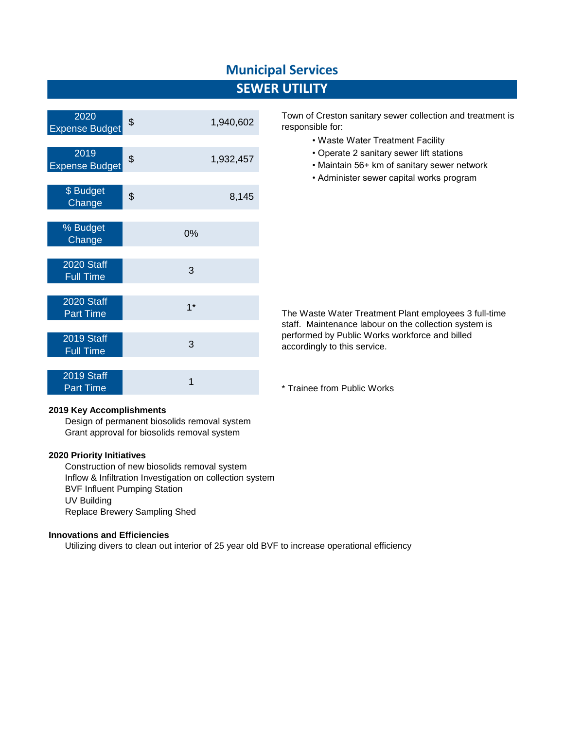### **SEWER UTILITY**

| 2020<br><b>Expense Budget</b>  | \$   | 1,940,602 |
|--------------------------------|------|-----------|
|                                |      |           |
| 2019<br><b>Expense Budget</b>  | \$   | 1,932,457 |
|                                |      |           |
| \$ Budget<br>Change            | \$   | 8,145     |
|                                |      |           |
| % Budget<br>Change             | 0%   |           |
|                                |      |           |
| 2020 Staff<br><b>Full Time</b> | 3    |           |
|                                |      |           |
| 2020 Staff<br><b>Part Time</b> | $1*$ |           |
|                                |      |           |
| 2019 Staff<br><b>Full Time</b> | 3    |           |
|                                |      |           |
| 2019 Staff<br><b>Part Time</b> | 1    |           |

Town of Creston sanitary sewer collection and treatment is responsible for:

- Waste Water Treatment Facility
- Operate 2 sanitary sewer lift stations
- Maintain 56+ km of sanitary sewer network
- Administer sewer capital works program

The Waste Water Treatment Plant employees 3 full-time staff. Maintenance labour on the collection system is performed by Public Works workforce and billed accordingly to this service.

\* Trainee from Public Works

#### **2019 Key Accomplishments**

Design of permanent biosolids removal system Grant approval for biosolids removal system

#### **2020 Priority Initiatives**

Construction of new biosolids removal system Inflow & Infiltration Investigation on collection system BVF Influent Pumping Station UV Building Replace Brewery Sampling Shed

#### **Innovations and Efficiencies**

Utilizing divers to clean out interior of 25 year old BVF to increase operational efficiency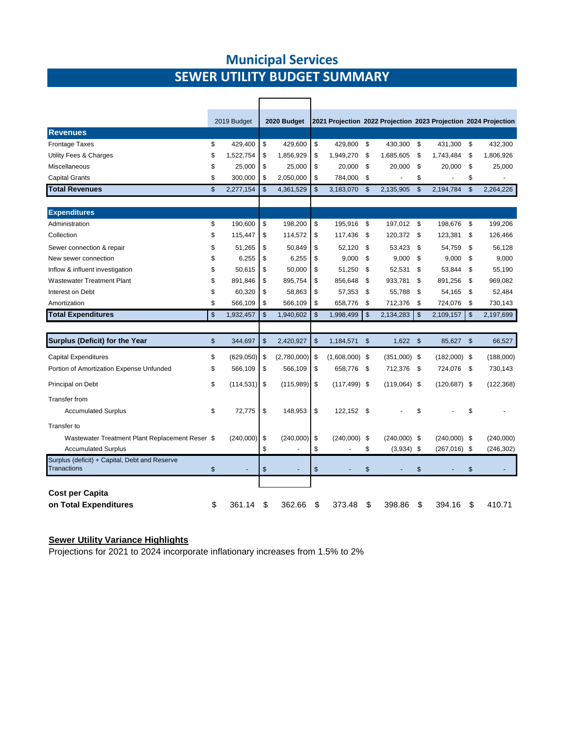### **Municipal Services SEWER UTILITY BUDGET SUMMARY**

|                                                                     |                | 2019 Budget     |                | 2020 Budget    |                        |               | 2021 Projection 2022 Projection 2023 Projection 2024 Projection |              |                 |                |            |
|---------------------------------------------------------------------|----------------|-----------------|----------------|----------------|------------------------|---------------|-----------------------------------------------------------------|--------------|-----------------|----------------|------------|
| <b>Revenues</b>                                                     |                |                 |                |                |                        |               |                                                                 |              |                 |                |            |
| <b>Frontage Taxes</b>                                               | \$             | 429,400         | \$             | 429,600        | \$<br>429,800 \$       |               | 430,300                                                         | \$           | 431,300         | \$             | 432,300    |
| Utility Fees & Charges                                              | \$             | 1,522,754       | \$             | 1,856,929      | \$<br>1,949,270        | \$            | 1,685,605                                                       | \$           | 1,743,484       | \$             | 1,806,926  |
| Miscellaneous                                                       | \$             | 25,000          | \$             | 25,000         | \$<br>20,000           | \$            | 20,000                                                          | \$           | 20,000          | \$             | 25,000     |
| <b>Capital Grants</b>                                               | \$             | 300,000         | \$             | 2,050,000      | \$<br>784,000          | \$            |                                                                 | \$           |                 | \$             |            |
| <b>Total Revenues</b>                                               | $\mathbb{S}$   | 2,277,154       | $\mathfrak{s}$ | 4,361,529      | \$<br>3.183.070 \$     |               | 2.135.905                                                       | $\mathbb{S}$ | 2.194.784       | $\mathfrak{S}$ | 2.264.226  |
|                                                                     |                |                 |                |                |                        |               |                                                                 |              |                 |                |            |
| <b>Expenditures</b>                                                 |                |                 |                |                |                        |               |                                                                 |              |                 |                |            |
| Administration                                                      | \$             | 190,600         | \$             | 198,200        | \$<br>195,916 \$       |               | 197,012 \$                                                      |              | 198,676         | \$             | 199,206    |
| Collection                                                          | \$             | 115,447         | \$             | 114,572        | \$<br>117,436          | \$            | 120,372 \$                                                      |              | 123,381         | \$             | 126,466    |
| Sewer connection & repair                                           | \$             | 51,265          | \$             | 50.849         | \$<br>52.120           | \$            | 53.423                                                          | \$           | 54,759          | -\$            | 56.128     |
| New sewer connection                                                | \$             | 6,255           | \$             | 6,255          | \$<br>9,000            | \$            | 9,000                                                           | \$           | 9,000           | \$             | 9,000      |
| Inflow & influent investigation                                     | \$             | 50,615          | \$             | 50,000         | \$<br>51,250           | \$            | 52,531                                                          | \$           | 53,844          | \$             | 55,190     |
| <b>Wastewater Treatment Plant</b>                                   | \$             | 891,846         | \$             | 895,754        | \$<br>856,648          | \$            | 933,781                                                         | \$           | 891,256         | \$             | 969,082    |
| Interest on Debt                                                    | \$             | 60,320          | \$             | 58,863         | \$<br>57,353           | \$            | 55,788                                                          | \$           | 54,165          | \$             | 52,484     |
| Amortization                                                        | \$             | 566,109         | \$             | 566,109        | \$<br>658,776          | \$            | 712,376                                                         | \$           | 724,076         | \$             | 730,143    |
| <b>Total Expenditures</b>                                           | $\mathfrak{s}$ | 1,932,457       | $\mathfrak{s}$ | 1,940,602      | \$<br>1,998,499        | $\mathsf{\$}$ | 2,134,283                                                       | \$           | 2,109,157       | $\mathfrak{S}$ | 2,197,699  |
|                                                                     |                |                 |                |                |                        |               |                                                                 |              |                 |                |            |
| Surplus (Deficit) for the Year                                      | \$             | 344,697         | $\mathfrak{s}$ | 2,420,927      | \$<br>1,184,571        | \$            | $1,622$ \$                                                      |              | 85,627 \$       |                | 66,527     |
| <b>Capital Expenditures</b>                                         | \$             | $(629,050)$ \$  |                | (2,780,000)    | \$<br>$(1,608,000)$ \$ |               | $(351,000)$ \$                                                  |              | $(182,000)$ \$  |                | (188,000)  |
| Portion of Amortization Expense Unfunded                            | \$             | 566,109         | \$             | 566,109        | \$<br>658,776 \$       |               | 712,376                                                         | - \$         | 724,076         | - \$           | 730,143    |
| Principal on Debt                                                   | \$             | $(114, 531)$ \$ |                | $(115,989)$ \$ | $(117, 499)$ \$        |               | $(119,064)$ \$                                                  |              | $(120, 687)$ \$ |                | (122, 368) |
| <b>Transfer from</b>                                                |                |                 |                |                |                        |               |                                                                 |              |                 |                |            |
| <b>Accumulated Surplus</b>                                          | \$             | 72,775          | \$             | 148,953        | \$<br>122,152 \$       |               |                                                                 | \$           |                 | \$             |            |
| Transfer to                                                         |                |                 |                |                |                        |               |                                                                 |              |                 |                |            |
| Wastewater Treatment Plant Replacement Reser \$                     |                | (240,000)       | \$             | (240,000)      | \$<br>$(240,000)$ \$   |               | $(240,000)$ \$                                                  |              | $(240,000)$ \$  |                | (240,000)  |
| <b>Accumulated Surplus</b>                                          |                |                 | \$             |                | \$                     | \$            | $(3,934)$ \$                                                    |              | $(267,016)$ \$  |                | (246, 302) |
| Surplus (deficit) + Capital, Debt and Reserve<br><b>Tranactions</b> | \$             |                 | \$             |                | \$                     | \$            |                                                                 | \$           |                 | \$             |            |
|                                                                     |                |                 |                |                |                        |               |                                                                 |              |                 |                |            |
| <b>Cost per Capita</b>                                              |                |                 |                |                |                        |               |                                                                 |              |                 |                |            |
| on Total Expenditures                                               | \$             | 361.14          | \$             | 362.66         | \$<br>373.48           | \$            | 398.86                                                          | \$           | 394.16          | \$             | 410.71     |

#### **Sewer Utility Variance Highlights**

Projections for 2021 to 2024 incorporate inflationary increases from 1.5% to 2%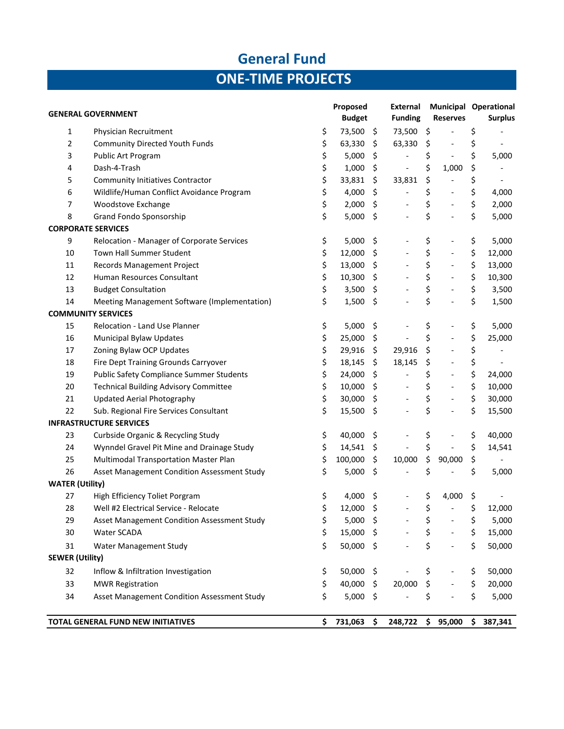# **General Fund ONE-TIME PROJECTS**

|                        |                                                 | Proposed          |                    | External                     |                     |                              | <b>Municipal Operational</b>   |
|------------------------|-------------------------------------------------|-------------------|--------------------|------------------------------|---------------------|------------------------------|--------------------------------|
|                        | <b>GENERAL GOVERNMENT</b>                       | <b>Budget</b>     |                    | <b>Funding</b>               |                     | <b>Reserves</b>              | <b>Surplus</b>                 |
| 1                      | Physician Recruitment                           | \$<br>73,500 \$   |                    | 73,500 \$                    |                     |                              | \$                             |
| 2                      | <b>Community Directed Youth Funds</b>           | \$<br>63,330      | \$                 | 63,330                       | \$                  | $\blacksquare$               | \$<br>$\overline{\phantom{a}}$ |
| 3                      | Public Art Program                              | \$<br>5,000       | \$                 | $\overline{\phantom{a}}$     | \$                  | $\blacksquare$               | \$<br>5,000                    |
| 4                      | Dash-4-Trash                                    | \$<br>1,000       | \$                 | $\overline{a}$               | \$                  | 1,000                        | \$                             |
| 5                      | <b>Community Initiatives Contractor</b>         | \$<br>33,831      | \$                 | 33,831                       | \$                  | $\qquad \qquad -$            | \$<br>$\overline{\phantom{a}}$ |
| 6                      | Wildlife/Human Conflict Avoidance Program       | \$<br>4,000       | \$                 | $\blacksquare$               | \$                  | $\blacksquare$               | \$<br>4,000                    |
| $\overline{7}$         | Woodstove Exchange                              | \$<br>2,000       | \$                 | $\qquad \qquad -$            | \$                  | $\overline{\phantom{a}}$     | \$<br>2,000                    |
| 8                      | Grand Fondo Sponsorship                         | \$<br>5,000       | \$                 |                              | \$                  | $\overline{\phantom{0}}$     | \$<br>5,000                    |
|                        | <b>CORPORATE SERVICES</b>                       |                   |                    |                              |                     |                              |                                |
| 9                      | Relocation - Manager of Corporate Services      | \$<br>5,000       | \$                 | $\overline{\phantom{a}}$     | \$                  | $\overline{a}$               | \$<br>5,000                    |
| 10                     | Town Hall Summer Student                        | \$<br>12,000      | \$                 | $\overline{\phantom{a}}$     | \$                  | $\qquad \qquad -$            | \$<br>12,000                   |
| 11                     | Records Management Project                      | \$<br>13,000      | \$                 | $\blacksquare$               | \$                  | $\blacksquare$               | \$<br>13,000                   |
| 12                     | Human Resources Consultant                      | \$<br>10,300      | \$                 | $\overline{\phantom{a}}$     | \$                  | $\overline{\phantom{a}}$     | \$<br>10,300                   |
| 13                     | <b>Budget Consultation</b>                      | \$<br>3,500       | \$                 | $\overline{\phantom{a}}$     | \$                  | $\qquad \qquad -$            | \$<br>3,500                    |
| 14                     | Meeting Management Software (Implementation)    | \$<br>1,500       | \$                 |                              | \$                  | $\overline{\phantom{0}}$     | \$<br>1,500                    |
|                        | <b>COMMUNITY SERVICES</b>                       |                   |                    |                              |                     |                              |                                |
| 15                     | Relocation - Land Use Planner                   | \$<br>5,000       | \$                 |                              | \$                  |                              | \$<br>5,000                    |
| 16                     | Municipal Bylaw Updates                         | \$<br>25,000      | \$                 | $\overline{\phantom{a}}$     | \$                  | $\blacksquare$               | \$<br>25,000                   |
| 17                     | Zoning Bylaw OCP Updates                        | \$<br>29,916      | \$                 | 29,916                       | $\ddot{\mathsf{S}}$ | $\overline{\phantom{a}}$     | \$<br>$\overline{\phantom{0}}$ |
| 18                     | Fire Dept Training Grounds Carryover            | \$<br>18,145      | \$                 | 18,145                       | \$                  | $\qquad \qquad -$            | \$<br>$\overline{\phantom{0}}$ |
| 19                     | <b>Public Safety Compliance Summer Students</b> | \$<br>24,000      | \$                 | $\overline{\phantom{a}}$     | \$                  | $\overline{\phantom{a}}$     | \$<br>24,000                   |
| 20                     | <b>Technical Building Advisory Committee</b>    | \$<br>10,000      | \$                 | $\blacksquare$               | \$                  | $\qquad \qquad -$            | \$<br>10,000                   |
| 21                     | Updated Aerial Photography                      | \$<br>30,000      | \$                 | $\qquad \qquad \blacksquare$ | \$                  | $\qquad \qquad -$            | \$<br>30,000                   |
| 22                     | Sub. Regional Fire Services Consultant          | \$<br>15,500      | -\$                |                              | \$                  | $\overline{a}$               | \$<br>15,500                   |
|                        | <b>INFRASTRUCTURE SERVICES</b>                  |                   |                    |                              |                     |                              |                                |
| 23                     | Curbside Organic & Recycling Study              | \$<br>40,000      | \$                 |                              | \$                  | $\qquad \qquad -$            | \$<br>40,000                   |
| 24                     | Wynndel Gravel Pit Mine and Drainage Study      | \$<br>14,541      | \$                 |                              | \$                  | $\qquad \qquad \blacksquare$ | \$<br>14,541                   |
| 25                     | Multimodal Transportation Master Plan           | \$<br>100,000     | \$                 | 10,000                       | \$                  | 90,000                       | \$                             |
| 26                     | Asset Management Condition Assessment Study     | \$<br>5,000       | $\ddot{\varsigma}$ |                              | \$                  |                              | \$<br>5,000                    |
| <b>WATER (Utility)</b> |                                                 |                   |                    |                              |                     |                              |                                |
| 27                     | High Efficiency Toliet Porgram                  | \$<br>4,000       | \$.                |                              | \$                  | 4,000                        | \$                             |
| 28                     | Well #2 Electrical Service - Relocate           | \$<br>12,000      | \$                 |                              | \$                  | $\blacksquare$               | \$<br>12,000                   |
| 29                     | Asset Management Condition Assessment Study     | \$<br>$5,000$ \$  |                    |                              | \$                  |                              | \$<br>5,000                    |
| 30                     | Water SCADA                                     | \$<br>15,000 \$   |                    |                              | \$                  |                              | \$<br>15,000                   |
| 31                     | Water Management Study                          | \$<br>50,000 \$   |                    |                              | \$                  | $\overline{\phantom{a}}$     | \$<br>50,000                   |
| <b>SEWER (Utility)</b> |                                                 |                   |                    |                              |                     |                              |                                |
| 32                     | Inflow & Infiltration Investigation             | \$<br>$50,000$ \$ |                    |                              | \$                  |                              | \$<br>50,000                   |
| 33                     | <b>MWR Registration</b>                         | \$<br>40,000 \$   |                    | 20,000                       | $\zeta$             |                              | \$<br>20,000                   |
| 34                     | Asset Management Condition Assessment Study     | \$<br>$5,000$ \$  |                    |                              | \$                  |                              | \$<br>5,000                    |
|                        |                                                 |                   |                    |                              |                     |                              |                                |
|                        | <b>TOTAL GENERAL FUND NEW INITIATIVES</b>       | \$<br>731,063     | \$                 | 248,722                      | \$                  | 95,000                       | \$<br>387,341                  |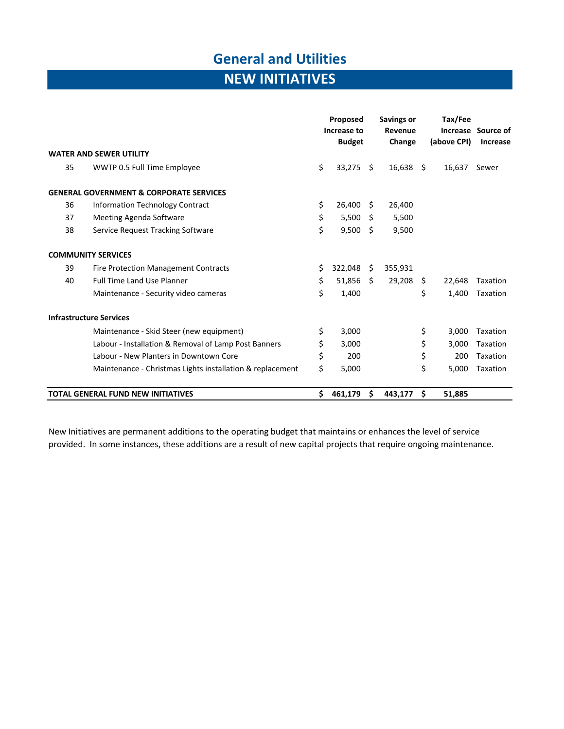## **General and Utilities**

# **NEW INITIATIVES**

|    |                                                           |     | Proposed<br>Increase to<br><b>Budget</b> |      | <b>Savings or</b><br>Revenue<br>Change |    | Tax/Fee<br>(above CPI) | Increase Source of<br>Increase |
|----|-----------------------------------------------------------|-----|------------------------------------------|------|----------------------------------------|----|------------------------|--------------------------------|
|    | <b>WATER AND SEWER UTILITY</b>                            |     |                                          |      |                                        |    |                        |                                |
| 35 | WWTP 0.5 Full Time Employee                               | \$  | $33,275$ \$                              |      | $16,638$ \$                            |    | 16,637                 | Sewer                          |
|    | <b>GENERAL GOVERNMENT &amp; CORPORATE SERVICES</b>        |     |                                          |      |                                        |    |                        |                                |
| 36 | Information Technology Contract                           | \$  | 26,400                                   | - \$ | 26,400                                 |    |                        |                                |
| 37 | Meeting Agenda Software                                   | \$  | 5,500                                    | - \$ | 5,500                                  |    |                        |                                |
| 38 | Service Request Tracking Software                         | \$  | 9,500                                    | -\$  | 9,500                                  |    |                        |                                |
|    | <b>COMMUNITY SERVICES</b>                                 |     |                                          |      |                                        |    |                        |                                |
| 39 | <b>Fire Protection Management Contracts</b>               | \$. | 322,048                                  | - \$ | 355,931                                |    |                        |                                |
| 40 | Full Time Land Use Planner                                | \$  | $51,856$ \$                              |      | 29,208                                 | S. | 22,648                 | Taxation                       |
|    | Maintenance - Security video cameras                      | \$  | 1,400                                    |      |                                        | \$ | 1,400                  | Taxation                       |
|    | <b>Infrastructure Services</b>                            |     |                                          |      |                                        |    |                        |                                |
|    | Maintenance - Skid Steer (new equipment)                  | \$  | 3,000                                    |      |                                        | \$ | 3,000                  | Taxation                       |
|    | Labour - Installation & Removal of Lamp Post Banners      | \$  | 3,000                                    |      |                                        | \$ | 3,000                  | Taxation                       |
|    | Labour - New Planters in Downtown Core                    | \$  | 200                                      |      |                                        | \$ | 200                    | Taxation                       |
|    | Maintenance - Christmas Lights installation & replacement | \$  | 5,000                                    |      |                                        | \$ | 5,000                  | Taxation                       |
|    | <b>TOTAL GENERAL FUND NEW INITIATIVES</b>                 | \$  | 461,179                                  | S    | 443,177                                | \$ | 51,885                 |                                |

New Initiatives are permanent additions to the operating budget that maintains or enhances the level of service provided. In some instances, these additions are a result of new capital projects that require ongoing maintenance.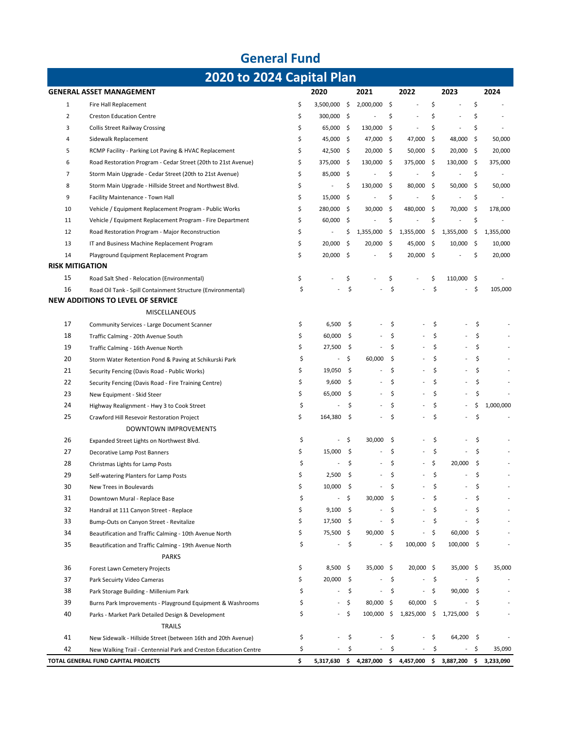|                        | <b>General Fund</b>                                                    |    |                          |      |                |      |             |      |                                                               |      |                          |
|------------------------|------------------------------------------------------------------------|----|--------------------------|------|----------------|------|-------------|------|---------------------------------------------------------------|------|--------------------------|
|                        | 2020 to 2024 Capital Plan                                              |    |                          |      |                |      |             |      |                                                               |      |                          |
|                        | <b>GENERAL ASSET MANAGEMENT</b>                                        |    | 2020                     |      | 2021           |      | 2022        |      | 2023                                                          |      | 2024                     |
| $\mathbf{1}$           | Fire Hall Replacement                                                  | \$ | 3,500,000 \$             |      | 2,000,000      | \$   |             | \$   |                                                               | \$   |                          |
| $\overline{2}$         | <b>Creston Education Centre</b>                                        | \$ | 300,000 \$               |      |                | \$   |             | \$   | L,                                                            | \$   |                          |
| 3                      | <b>Collis Street Railway Crossing</b>                                  | \$ | 65,000 \$                |      | 130,000        | \$   |             | \$   | L,                                                            | \$   |                          |
| $\overline{4}$         | Sidewalk Replacement                                                   | \$ | 45,000 \$                |      | 47,000         | \$.  | 47,000      | -\$  | 48,000                                                        | \$   | 50,000                   |
| 5                      | RCMP Facility - Parking Lot Paving & HVAC Replacement                  | \$ | 42,500 \$                |      | 20,000         | -\$  | $50,000$ \$ |      | 20,000 \$                                                     |      | 20,000                   |
| 6                      | Road Restoration Program - Cedar Street (20th to 21st Avenue)          | \$ | 375,000 \$               |      | 130,000        | -\$  | 375,000 \$  |      | 130,000 \$                                                    |      | 375,000                  |
| $\overline{7}$         | Storm Main Upgrade - Cedar Street (20th to 21st Avenue)                | \$ | 85,000 \$                |      | $\overline{a}$ | \$   |             | \$   |                                                               | \$   | $\overline{\phantom{a}}$ |
| 8                      | Storm Main Upgrade - Hillside Street and Northwest Blvd.               | \$ | $\overline{a}$           | \$   | 130,000        | \$   | 80,000 \$   |      | 50,000                                                        | \$   | 50,000                   |
| 9                      | Facility Maintenance - Town Hall                                       | \$ | 15,000                   | - \$ |                | \$   |             | \$   |                                                               | \$   |                          |
| 10                     | Vehicle / Equipment Replacement Program - Public Works                 | \$ | 280,000 \$               |      | 30,000         | \$   | 480,000     | -\$  | 70,000                                                        | \$   | 178,000                  |
| 11                     | Vehicle / Equipment Replacement Program - Fire Department              | \$ | 60,000                   | - \$ |                | \$   |             | \$   |                                                               | \$   |                          |
| 12                     | Road Restoration Program - Major Reconstruction                        | \$ | $\overline{a}$           | \$   | 1,355,000      | \$   | 1,355,000   | \$   | 1,355,000                                                     | \$   | 1,355,000                |
| 13                     | IT and Business Machine Replacement Program                            | \$ | 20,000                   | -\$  | 20,000         | \$.  | 45,000 \$   |      | 10,000                                                        | - \$ | 10,000                   |
| 14                     | Playground Equipment Replacement Program                               | \$ | 20,000 \$                |      |                | \$   | $20,000$ \$ |      |                                                               | \$   | 20,000                   |
| <b>RISK MITIGATION</b> |                                                                        |    |                          |      |                |      |             |      |                                                               |      |                          |
| 15                     | Road Salt Shed - Relocation (Environmental)                            | \$ |                          | \$   |                | \$   |             | \$   | 110,000 \$                                                    |      |                          |
| 16                     | Road Oil Tank - Spill Containment Structure (Environmental)            | \$ |                          | \$   |                | \$   |             | \$   |                                                               | \$   | 105,000                  |
|                        | <b>NEW ADDITIONS TO LEVEL OF SERVICE</b>                               |    |                          |      |                |      |             |      |                                                               |      |                          |
|                        | <b>MISCELLANEOUS</b>                                                   |    |                          |      |                |      |             |      |                                                               |      |                          |
| 17                     | Community Services - Large Document Scanner                            | \$ | 6,500                    | \$   |                | \$   |             | \$   |                                                               | \$   |                          |
| 18                     | Traffic Calming - 20th Avenue South                                    | \$ | 60,000                   | -\$  |                | \$   |             | \$   |                                                               | \$   |                          |
| 19                     | Traffic Calming - 16th Avenue North                                    | \$ | 27,500                   | -\$  |                | \$   |             | \$   |                                                               | \$   |                          |
| 20                     | Storm Water Retention Pond & Paving at Schikurski Park                 | \$ | $\overline{\phantom{a}}$ | \$   | 60,000         | \$   |             | Ś    |                                                               | \$   |                          |
| 21                     | Security Fencing (Davis Road - Public Works)                           | \$ | 19,050                   | \$   |                | \$   |             | Ś    |                                                               | \$   |                          |
| 22                     | Security Fencing (Davis Road - Fire Training Centre)                   | \$ | 9,600                    | -\$  |                | \$   |             | \$   |                                                               | \$   |                          |
| 23                     | New Equipment - Skid Steer                                             | \$ | 65,000                   | -\$  |                | \$   |             | \$   |                                                               | \$   |                          |
| 24                     | Highway Realignment - Hwy 3 to Cook Street                             | \$ |                          | \$   |                | \$   |             | \$   |                                                               | \$   | 1,000,000                |
| 25                     | Crawford Hill Resevoir Restoration Project                             | \$ | 164,380                  | -\$  |                | \$   |             | \$   |                                                               | \$   |                          |
|                        | DOWNTOWN IMPROVEMENTS                                                  |    |                          |      |                |      |             |      |                                                               |      |                          |
| 26                     | Expanded Street Lights on Northwest Blvd.                              | \$ |                          | \$   | 30,000         | -\$  |             | \$   |                                                               | \$   |                          |
| 27                     | Decorative Lamp Post Banners                                           | \$ | 15,000                   | \$   |                | \$   |             | Ś    |                                                               | \$   |                          |
| 28                     | Christmas Lights for Lamp Posts                                        | Ś  |                          | \$   |                | Ś    |             | Ś    | 20,000                                                        | \$   |                          |
| 29                     | Self-watering Planters for Lamp Posts                                  | \$ | $2,500$ \$               |      |                | \$   |             | Ś    |                                                               | \$   |                          |
| 30                     | New Trees in Boulevards                                                | \$ | 10,000                   | -\$  |                | \$   |             |      |                                                               | \$   |                          |
| 31                     | Downtown Mural - Replace Base                                          | \$ |                          | - \$ | 30,000         | -\$  |             | \$   |                                                               | \$   |                          |
| 32                     | Handrail at 111 Canyon Street - Replace                                | \$ | $9,100$ \$               |      |                | \$   |             | \$   |                                                               | \$   |                          |
| 33                     | Bump-Outs on Canyon Street - Revitalize                                | \$ | 17,500 \$                |      |                | \$   |             | \$   |                                                               | \$   |                          |
| 34                     | Beautification and Traffic Calming - 10th Avenue North                 | \$ | 75,500 \$                |      | 90,000         | - \$ |             | - \$ | 60,000                                                        | - \$ |                          |
| 35                     | Beautification and Traffic Calming - 19th Avenue North<br><b>PARKS</b> | \$ | $\overline{a}$           | \$   |                | \$   | 100,000 \$  |      | $100,000$ \$                                                  |      |                          |
| 36                     | Forest Lawn Cemetery Projects                                          | \$ | $8,500$ \$               |      | 35,000 \$      |      | 20,000 \$   |      | 35,000 \$                                                     |      | 35,000                   |
| 37                     | Park Secuirty Video Cameras                                            | \$ | 20,000 \$                |      |                | \$.  |             | \$   |                                                               | \$   |                          |
| 38                     | Park Storage Building - Millenium Park                                 | \$ |                          | \$   |                | \$   |             | \$   | $90,000$ \$                                                   |      |                          |
| 39                     | Burns Park Improvements - Playground Equipment & Washrooms             | \$ | $\overline{\phantom{a}}$ | \$   | 80,000 \$      |      | $60,000$ \$ |      |                                                               | \$   |                          |
| 40                     | Parks - Market Park Detailed Design & Development                      | \$ | $\blacksquare$           | \$   | 100,000        | \$   | 1,825,000   | \$   | 1,725,000                                                     | \$   |                          |
|                        | <b>TRAILS</b>                                                          |    |                          |      |                |      |             |      |                                                               |      |                          |
| 41                     | New Sidewalk - Hillside Street (between 16th and 20th Avenue)          | \$ |                          | \$   |                | \$   |             | \$   | 64,200 \$                                                     |      |                          |
| 42                     | New Walking Trail - Centennial Park and Creston Education Centre       | \$ |                          | \$   |                | \$   |             | \$   | $\overline{\phantom{a}}$                                      | \$   | 35,090                   |
|                        | TOTAL GENERAL FUND CAPITAL PROJECTS                                    | \$ |                          |      |                |      |             |      | 5,317,630 \$ 4,287,000 \$ 4,457,000 \$ 3,887,200 \$ 3,233,090 |      |                          |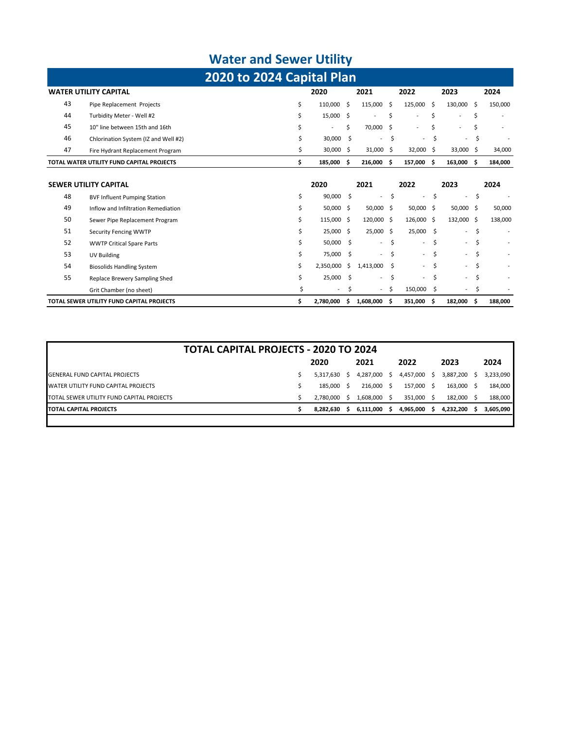# **Water and Sewer Utility**

|                              | 2020 to 2024 Capital Plan                 |  |                          |      |           |    |            |  |                          |      |                          |  |  |  |  |
|------------------------------|-------------------------------------------|--|--------------------------|------|-----------|----|------------|--|--------------------------|------|--------------------------|--|--|--|--|
| <b>WATER UTILITY CAPITAL</b> |                                           |  | 2020                     | 2021 |           |    | 2022       |  | 2023                     | 2024 |                          |  |  |  |  |
| 43                           | Pipe Replacement Projects                 |  | 110.000                  | Ŝ.   | 115.000   | S. | 125,000    |  | 130.000                  |      | 150,000                  |  |  |  |  |
| 44                           | Turbidity Meter - Well #2                 |  | 15,000                   | Ŝ.   | -         |    |            |  | $\overline{\phantom{0}}$ |      |                          |  |  |  |  |
| 45                           | 10" line between 15th and 16th            |  | $\overline{\phantom{0}}$ |      | 70,000 \$ |    |            |  |                          |      |                          |  |  |  |  |
| 46                           | Chlorination System (IZ and Well #2)      |  | 30,000                   |      | $\sim$    |    | $\sim$     |  | $\sim$                   |      | $\overline{\phantom{a}}$ |  |  |  |  |
| 47                           | Fire Hydrant Replacement Program          |  | 30,000                   | Ŝ.   | 31.000    |    | 32.000 S   |  | 33,000 \$                |      | 34,000                   |  |  |  |  |
|                              | TOTAL WATER UTILITY FUND CAPITAL PROJECTS |  | 185.000                  |      | 216.000   |    | 157.000 \$ |  | 163.000                  |      | 184,000                  |  |  |  |  |

|    | <b>SEWER UTILITY CAPITAL</b>              | 2020               |      | 2021                     |    | 2022       |    | 2023        |     | 2024    |
|----|-------------------------------------------|--------------------|------|--------------------------|----|------------|----|-------------|-----|---------|
| 48 | <b>BVF Influent Pumping Station</b>       | \$<br>90,000 \$    |      | $\overline{\phantom{a}}$ | Ś  | $\sim$     | \$ | $\sim 100$  | -\$ |         |
| 49 | Inflow and Infiltration Remediation       | \$<br>50,000 \$    |      | $50,000$ \$              |    | 50,000 \$  |    | $50,000$ \$ |     | 50,000  |
| 50 | Sewer Pipe Replacement Program            | \$<br>115,000 \$   |      | 120,000 \$               |    | 126,000 \$ |    | 132,000 \$  |     | 138,000 |
| 51 | <b>Security Fencing WWTP</b>              | \$<br>25,000 \$    |      | $25,000$ \$              |    | 25,000 \$  |    | $\sim 100$  | \$  |         |
| 52 | <b>WWTP Critical Spare Parts</b>          | \$<br>50,000 \$    |      | $\overline{\phantom{a}}$ | Ś  | $\sim$     | \$ | $\sim$      | -\$ | ۰       |
| 53 | UV Building                               | \$<br>75,000 \$    |      | $\sim$                   | Ŝ  | $\sim$     | S. | $\sim$      | \$  |         |
| 54 | <b>Biosolids Handling System</b>          | \$<br>2,350,000 \$ |      | 1,413,000                | -Ŝ | $\sim$     | S. | $\sim$      | S.  |         |
| 55 | Replace Brewery Sampling Shed             | \$<br>25,000       | - \$ | $\sim$                   | Ŝ  | $\sim$     | \$ | $\sim$      | -\$ |         |
|    | Grit Chamber (no sheet)                   | $\sim$             |      | - \$                     |    | 150,000    | \$ | $\sim$      | \$  |         |
|    | TOTAL SEWER UTILITY FUND CAPITAL PROJECTS | \$<br>2,780,000    |      | 1,608,000                | Ŝ  | 351,000    | -S | 182,000 \$  |     | 188,000 |

| <b>TOTAL CAPITAL PROJECTS - 2020 TO 2024</b> |  |  |           |    |           |     |              |  |              |  |           |  |  |
|----------------------------------------------|--|--|-----------|----|-----------|-----|--------------|--|--------------|--|-----------|--|--|
|                                              |  |  | 2020      |    | 2021      |     | 2022         |  | 2023         |  | 2024      |  |  |
| <b>GENERAL FUND CAPITAL PROJECTS</b>         |  |  | 5.317.630 | S. | 4,287,000 | S.  | 4,457,000 \$ |  | 3,887,200    |  | 3,233,090 |  |  |
| <b>WATER UTILITY FUND CAPITAL PROJECTS</b>   |  |  | 185.000   | -S | 216.000   | - S | 157,000 \$   |  | 163,000 \$   |  | 184,000   |  |  |
| TOTAL SEWER UTILITY FUND CAPITAL PROJECTS    |  |  | 2.780.000 | S. | 1,608,000 | -S  | 351,000 \$   |  | 182.000 \$   |  | 188,000   |  |  |
| <b>ITOTAL CAPITAL PROJECTS</b>               |  |  | 8,282,630 | s  | 6,111,000 |     | 4,965,000 \$ |  | 4,232,200 \$ |  | 3,605,090 |  |  |
|                                              |  |  |           |    |           |     |              |  |              |  |           |  |  |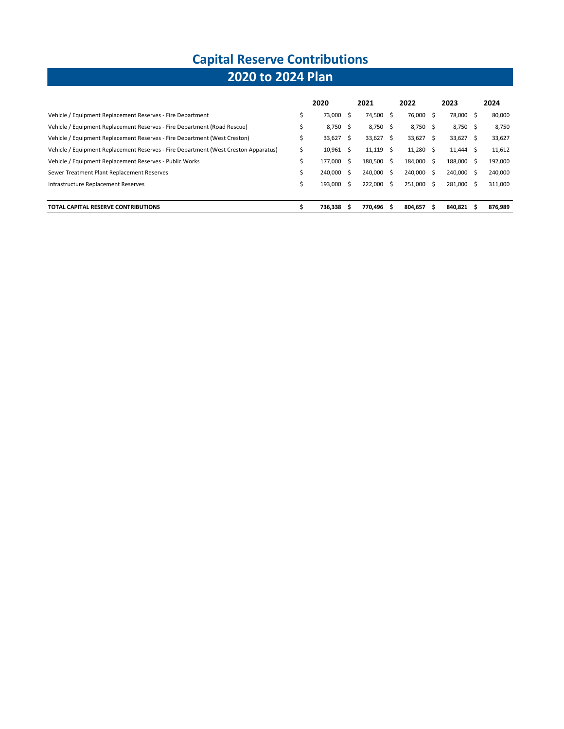# **Capital Reserve Contributions**

### **2020 to 2024 Plan**

|                                                                                     | 2020        |    | 2021    |    | 2022        |    | 2023        | 2024    |
|-------------------------------------------------------------------------------------|-------------|----|---------|----|-------------|----|-------------|---------|
| Vehicle / Equipment Replacement Reserves - Fire Department                          | 73,000 \$   |    | 74,500  | -S | 76,000 \$   |    | 78,000 \$   | 80,000  |
| Vehicle / Equipment Replacement Reserves - Fire Department (Road Rescue)            | 8,750 \$    |    | 8,750   | -S | 8,750 \$    |    | 8,750 \$    | 8,750   |
| Vehicle / Equipment Replacement Reserves - Fire Department (West Creston)           | 33,627      | -S | 33,627  | Ŝ. | 33,627      | S. | $33,627$ \$ | 33,627  |
| Vehicle / Equipment Replacement Reserves - Fire Department (West Creston Apparatus) | $10,961$ \$ |    | 11,119  | Ŝ. | $11,280$ \$ |    | $11,444$ \$ | 11,612  |
| Vehicle / Equipment Replacement Reserves - Public Works                             | 177.000 \$  |    | 180.500 | -Ŝ | 184.000     | -S | 188,000 \$  | 192,000 |
| Sewer Treatment Plant Replacement Reserves                                          | 240,000 \$  |    | 240.000 | -Ŝ | 240,000 \$  |    | 240,000 \$  | 240,000 |
| Infrastructure Replacement Reserves                                                 | 193,000 \$  |    | 222.000 | Ŝ. | 251,000 \$  |    | 281.000 \$  | 311,000 |
|                                                                                     |             |    |         |    |             |    |             |         |
| TOTAL CAPITAL RESERVE CONTRIBUTIONS                                                 | 736.338     | Ŝ  | 770.496 | Ŝ  | 804.657     | Ŝ  | 840.821 \$  | 876.989 |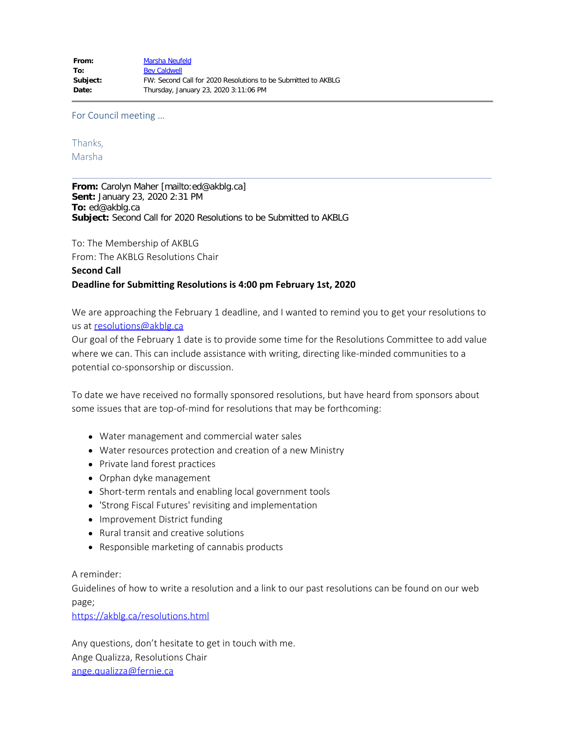For Council meeting …

#### Thanks,

Marsha

**From:** Carolyn Maher [mailto:ed@akblg.ca] **Sent:** January 23, 2020 2:31 PM **To:** ed@akblg.ca **Subject:** Second Call for 2020 Resolutions to be Submitted to AKBLG

To: The Membership of AKBLG

From: The AKBLG Resolutions Chair

#### **Second Call Deadline for Submitting Resolutions is 4:00 pm February 1st, 2020**

We are approaching the February 1 deadline, and I wanted to remind you to get your resolutions to us at [resolutions@akblg.ca](mailto:resolutions@akblg.ca)

Our goal of the February 1 date is to provide some time for the Resolutions Committee to add value where we can. This can include assistance with writing, directing like-minded communities to a potential co-sponsorship or discussion.

To date we have received no formally sponsored resolutions, but have heard from sponsors about some issues that are top-of-mind for resolutions that may be forthcoming:

- Water management and commercial water sales
- Water resources protection and creation of a new Ministry
- Private land forest practices
- Orphan dyke management
- Short-term rentals and enabling local government tools
- 'Strong Fiscal Futures' revisiting and implementation
- Improvement District funding
- Rural transit and creative solutions
- Responsible marketing of cannabis products

A reminder:

Guidelines of how to write a resolution and a link to our past resolutions can be found on our web page;

<https://akblg.ca/resolutions.html>

Any questions, don't hesitate to get in touch with me. Ange Qualizza, Resolutions Chair [ange.qualizza@fernie.ca](mailto:ange.qualizza@fernie.ca)